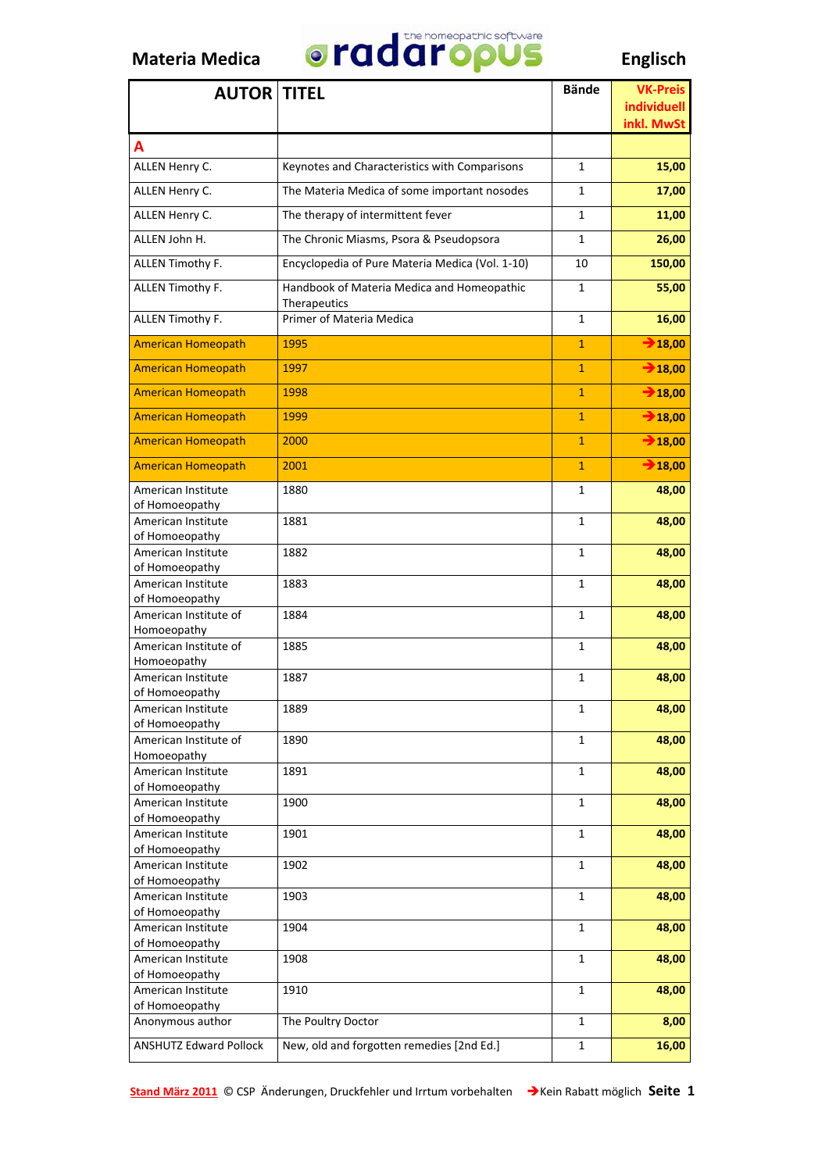

| <b>AUTOR TITEL</b>                      |                                                 | <b>Bände</b>   | <b>VK-Preis</b>                  |
|-----------------------------------------|-------------------------------------------------|----------------|----------------------------------|
|                                         |                                                 |                | <b>individuell</b><br>inkl. MwSt |
| A                                       |                                                 |                |                                  |
| ALLEN Henry C.                          | Keynotes and Characteristics with Comparisons   | 1              | 15,00                            |
| ALLEN Henry C.                          | The Materia Medica of some important nosodes    | 1              | 17,00                            |
| ALLEN Henry C.                          | The therapy of intermittent fever               | 1              | 11,00                            |
| ALLEN John H.                           | The Chronic Miasms, Psora & Pseudopsora         | 1              | 26,00                            |
| ALLEN Timothy F.                        | Encyclopedia of Pure Materia Medica (Vol. 1-10) | 10             | 150,00                           |
| ALLEN Timothy F.                        | Handbook of Materia Medica and Homeopathic      | 1              | 55,00                            |
|                                         | Therapeutics                                    |                |                                  |
| ALLEN Timothy F.                        | Primer of Materia Medica                        | 1              | 16,00                            |
| <b>American Homeopath</b>               | 1995                                            | $\mathbf{1}$   | $\rightarrow 18,00$              |
| <b>American Homeopath</b>               | 1997                                            | $\mathbf{1}$   | $\rightarrow$ 18,00              |
| <b>American Homeopath</b>               | 1998                                            | $\overline{1}$ | $\rightarrow$ 18,00              |
| <b>American Homeopath</b>               | 1999                                            | $\overline{1}$ | $\rightarrow$ 18,00              |
| <b>American Homeopath</b>               | 2000                                            | $\mathbf{1}$   | $\rightarrow 18,00$              |
| <b>American Homeopath</b>               | 2001                                            | $\overline{1}$ | $\rightarrow 18,00$              |
| American Institute                      | 1880                                            | 1              | 48,00                            |
| of Homoeopathy                          |                                                 |                |                                  |
| American Institute<br>of Homoeopathy    | 1881                                            | 1              | 48,00                            |
| American Institute                      | 1882                                            | 1              | 48,00                            |
| of Homoeopathy<br>American Institute    | 1883                                            | 1              | 48,00                            |
| of Homoeopathy                          |                                                 |                |                                  |
| American Institute of                   | 1884                                            | 1              | 48,00                            |
| Homoeopathy<br>American Institute of    | 1885                                            | 1              | 48,00                            |
| Homoeopathy                             |                                                 |                |                                  |
| American Institute<br>of Homoeopathy    | 1887                                            | 1              | 48,00                            |
| American Institute                      | 1889                                            | 1              | 48,00                            |
| of Homoeopathy<br>American Institute of |                                                 | $\mathbf{1}$   |                                  |
| Homoeopathy                             | 1890                                            |                | 48,00                            |
| American Institute                      | 1891                                            | 1              | 48,00                            |
| of Homoeopathy<br>American Institute    | 1900                                            | 1              | 48,00                            |
| of Homoeopathy                          |                                                 |                |                                  |
| American Institute<br>of Homoeopathy    | 1901                                            | 1              | 48,00                            |
| American Institute                      | 1902                                            | $\mathbf{1}$   | 48,00                            |
| of Homoeopathy                          |                                                 |                |                                  |
| American Institute<br>of Homoeopathy    | 1903                                            | 1              | 48,00                            |
| American Institute                      | 1904                                            | $\mathbf{1}$   | 48,00                            |
| of Homoeopathy<br>American Institute    | 1908                                            | 1              | 48,00                            |
| of Homoeopathy                          |                                                 |                |                                  |
| American Institute<br>of Homoeopathy    | 1910                                            | 1              | 48,00                            |
| Anonymous author                        | The Poultry Doctor                              | 1              | 8,00                             |
| <b>ANSHUTZ Edward Pollock</b>           | New, old and forgotten remedies [2nd Ed.]       | $\mathbf{1}$   | 16,00                            |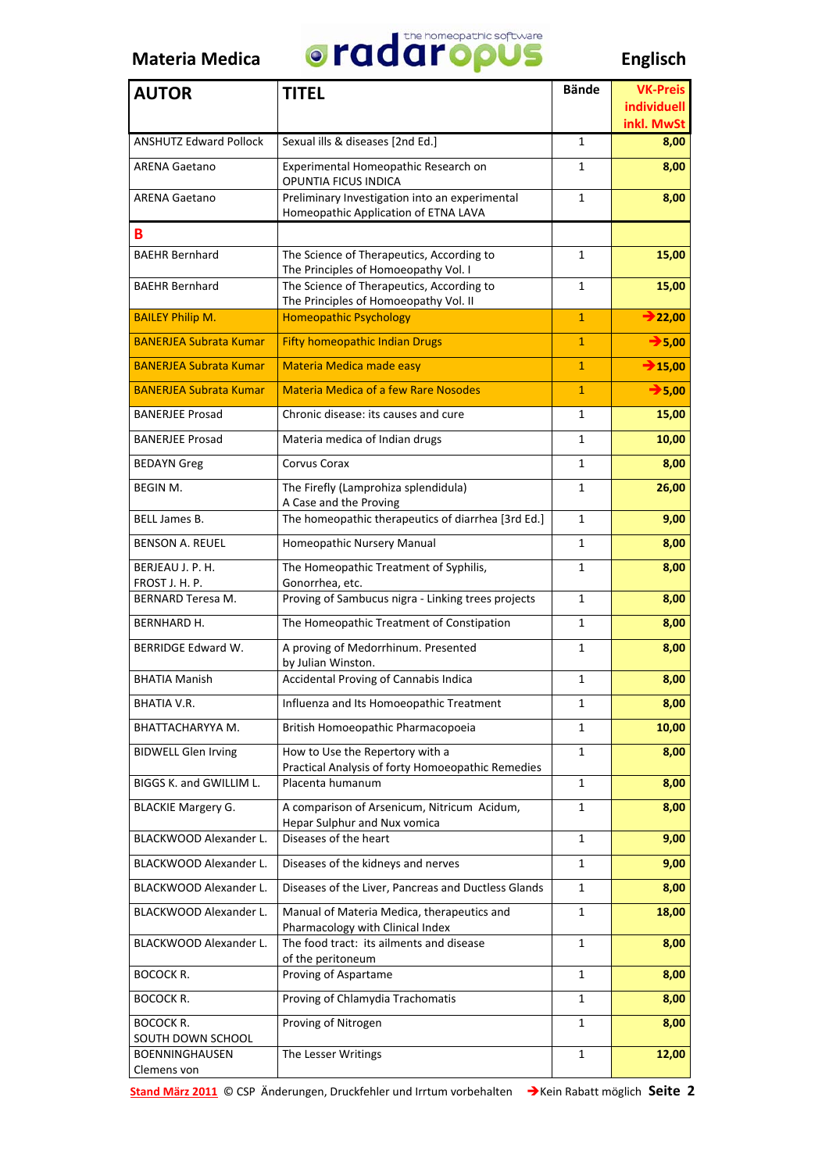

| <b>AUTOR</b>                               | <b>TITEL</b>                                                                           | <b>Bände</b> | <b>VK-Preis</b><br>individuell |
|--------------------------------------------|----------------------------------------------------------------------------------------|--------------|--------------------------------|
|                                            |                                                                                        |              | inkl. MwSt                     |
| <b>ANSHUTZ Edward Pollock</b>              | Sexual ills & diseases [2nd Ed.]                                                       | $\mathbf{1}$ | 8,00                           |
| <b>ARENA Gaetano</b>                       | Experimental Homeopathic Research on<br>OPUNTIA FICUS INDICA                           | 1            | 8,00                           |
| <b>ARENA Gaetano</b>                       | Preliminary Investigation into an experimental<br>Homeopathic Application of ETNA LAVA | 1            | 8,00                           |
| В                                          |                                                                                        |              |                                |
| <b>BAEHR Bernhard</b>                      | The Science of Therapeutics, According to<br>The Principles of Homoeopathy Vol. I      | 1            | 15,00                          |
| <b>BAEHR Bernhard</b>                      | The Science of Therapeutics, According to<br>The Principles of Homoeopathy Vol. II     | 1            | 15,00                          |
| <b>BAILEY Philip M.</b>                    | <b>Homeopathic Psychology</b>                                                          | $\mathbf{1}$ | $\rightarrow$ 22,00            |
| <b>BANERJEA Subrata Kumar</b>              | <b>Fifty homeopathic Indian Drugs</b>                                                  | $\mathbf{1}$ | $\rightarrow$ 5,00             |
| <b>BANERJEA Subrata Kumar</b>              | Materia Medica made easy                                                               | $\mathbf{1}$ | $\rightarrow$ 15,00            |
| <b>BANERJEA Subrata Kumar</b>              | <b>Materia Medica of a few Rare Nosodes</b>                                            | $\mathbf{1}$ | $\rightarrow$ 5,00             |
| <b>BANERJEE Prosad</b>                     | Chronic disease: its causes and cure                                                   | 1            | 15,00                          |
| <b>BANERJEE Prosad</b>                     | Materia medica of Indian drugs                                                         | 1            | 10,00                          |
| <b>BEDAYN</b> Greg                         | Corvus Corax                                                                           | 1            | 8,00                           |
| <b>BEGIN M.</b>                            | The Firefly (Lamprohiza splendidula)                                                   | 1            | 26,00                          |
| BELL James B.                              | A Case and the Proving<br>The homeopathic therapeutics of diarrhea [3rd Ed.]           | 1            | 9,00                           |
| <b>BENSON A. REUEL</b>                     | Homeopathic Nursery Manual                                                             | 1            | 8,00                           |
| BERJEAU J. P. H.                           | The Homeopathic Treatment of Syphilis,                                                 | 1            | 8,00                           |
| FROST J. H. P.<br><b>BERNARD Teresa M.</b> | Gonorrhea, etc.<br>Proving of Sambucus nigra - Linking trees projects                  | 1            | 8,00                           |
| BERNHARD H.                                | The Homeopathic Treatment of Constipation                                              | 1            | 8,00                           |
| <b>BERRIDGE Edward W.</b>                  | A proving of Medorrhinum. Presented                                                    | 1            | 8,00                           |
|                                            | by Julian Winston.                                                                     |              |                                |
| <b>BHATIA Manish</b>                       | Accidental Proving of Cannabis Indica                                                  | 1            | 8,00                           |
| BHATIA V.R.                                | Influenza and Its Homoeopathic Treatment                                               | 1            | 8,00                           |
| BHATTACHARYYA M.                           | British Homoeopathic Pharmacopoeia                                                     | 1            | 10,00                          |
| <b>BIDWELL Glen Irving</b>                 | How to Use the Repertory with a<br>Practical Analysis of forty Homoeopathic Remedies   | 1            | 8,00                           |
| BIGGS K. and GWILLIM L.                    | Placenta humanum                                                                       | 1            | 8,00                           |
| <b>BLACKIE Margery G.</b>                  | A comparison of Arsenicum, Nitricum Acidum,<br>Hepar Sulphur and Nux vomica            | 1            | 8,00                           |
| <b>BLACKWOOD Alexander L.</b>              | Diseases of the heart                                                                  | 1            | 9,00                           |
| BLACKWOOD Alexander L.                     | Diseases of the kidneys and nerves                                                     | 1            | 9,00                           |
| BLACKWOOD Alexander L.                     | Diseases of the Liver, Pancreas and Ductless Glands                                    | $\mathbf{1}$ | 8,00                           |
| BLACKWOOD Alexander L.                     | Manual of Materia Medica, therapeutics and<br>Pharmacology with Clinical Index         | 1            | 18,00                          |
| BLACKWOOD Alexander L.                     | The food tract: its ailments and disease                                               | 1            | 8,00                           |
| <b>BOCOCK R.</b>                           | of the peritoneum<br>Proving of Aspartame                                              | 1            | 8,00                           |
| BOCOCK R.                                  | Proving of Chlamydia Trachomatis                                                       | $\mathbf{1}$ | 8,00                           |
| BOCOCK R.<br>SOUTH DOWN SCHOOL             | Proving of Nitrogen                                                                    | 1            | 8,00                           |
| <b>BOENNINGHAUSEN</b>                      | The Lesser Writings                                                                    | 1            | 12,00                          |
| Clemens von                                |                                                                                        |              |                                |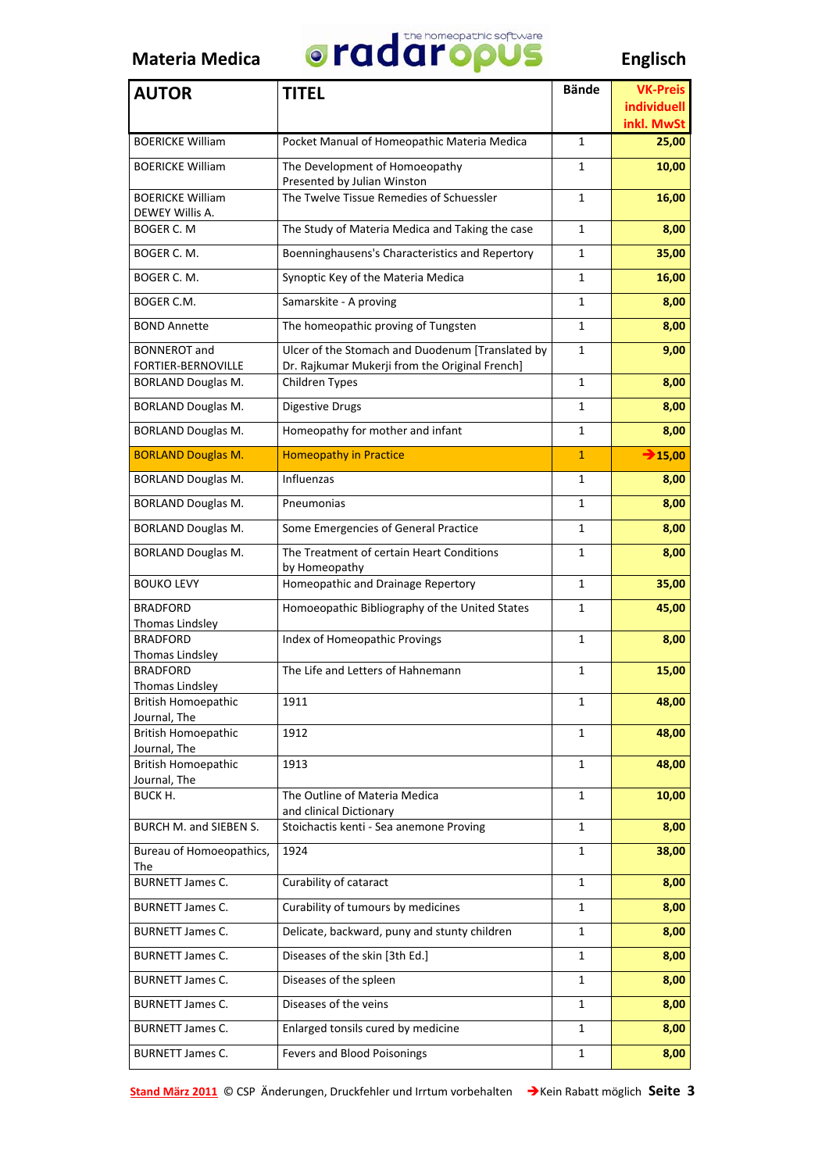

| <b>AUTOR</b>                               | <b>TITEL</b>                                                                                       | <b>Bände</b> | <b>VK-Preis</b><br>individuell |
|--------------------------------------------|----------------------------------------------------------------------------------------------------|--------------|--------------------------------|
|                                            |                                                                                                    |              | inkl. MwSt                     |
| <b>BOERICKE William</b>                    | Pocket Manual of Homeopathic Materia Medica                                                        | $\mathbf{1}$ | 25,00                          |
| <b>BOERICKE William</b>                    | The Development of Homoeopathy<br>Presented by Julian Winston                                      | 1            | 10,00                          |
| <b>BOERICKE William</b><br>DEWEY Willis A. | The Twelve Tissue Remedies of Schuessler                                                           | 1            | 16,00                          |
| BOGER C. M                                 | The Study of Materia Medica and Taking the case                                                    | 1            | 8,00                           |
| BOGER C. M.                                | Boenninghausens's Characteristics and Repertory                                                    | 1            | 35,00                          |
| BOGER C. M.                                | Synoptic Key of the Materia Medica                                                                 | 1            | 16,00                          |
| BOGER C.M.                                 | Samarskite - A proving                                                                             | 1            | 8,00                           |
| <b>BOND Annette</b>                        | The homeopathic proving of Tungsten                                                                | 1            | 8,00                           |
| <b>BONNEROT</b> and<br>FORTIER-BERNOVILLE  | Ulcer of the Stomach and Duodenum [Translated by<br>Dr. Rajkumar Mukerji from the Original French] | 1            | 9,00                           |
| <b>BORLAND Douglas M.</b>                  | Children Types                                                                                     | 1            | 8,00                           |
| <b>BORLAND Douglas M.</b>                  | Digestive Drugs                                                                                    | 1            | 8,00                           |
| <b>BORLAND Douglas M.</b>                  | Homeopathy for mother and infant                                                                   | 1            | 8,00                           |
| <b>BORLAND Douglas M.</b>                  | <b>Homeopathy in Practice</b>                                                                      | $\mathbf{1}$ | $\bigtriangledown$ 15,00       |
| <b>BORLAND Douglas M.</b>                  | Influenzas                                                                                         | 1            | 8,00                           |
| <b>BORLAND Douglas M.</b>                  | Pneumonias                                                                                         | 1            | 8,00                           |
| <b>BORLAND Douglas M.</b>                  | Some Emergencies of General Practice                                                               | 1            | 8,00                           |
| <b>BORLAND Douglas M.</b>                  | The Treatment of certain Heart Conditions<br>by Homeopathy                                         | 1            | 8,00                           |
| <b>BOUKO LEVY</b>                          | Homeopathic and Drainage Repertory                                                                 | 1            | 35,00                          |
| <b>BRADFORD</b><br>Thomas Lindsley         | Homoeopathic Bibliography of the United States                                                     | 1            | 45,00                          |
| <b>BRADFORD</b><br>Thomas Lindsley         | Index of Homeopathic Provings                                                                      | 1            | 8,00                           |
| <b>BRADFORD</b><br>Thomas Lindsley         | The Life and Letters of Hahnemann                                                                  | 1            | 15,00                          |
| <b>British Homoepathic</b><br>Journal, The | 1911                                                                                               | 1            | 48,00                          |
| <b>British Homoepathic</b><br>Journal, The | 1912                                                                                               | 1            | 48,00                          |
| <b>British Homoepathic</b><br>Journal, The | 1913                                                                                               | 1            | 48,00                          |
| BUCK H.                                    | The Outline of Materia Medica<br>and clinical Dictionary                                           | 1            | 10,00                          |
| BURCH M. and SIEBEN S.                     | Stoichactis kenti - Sea anemone Proving                                                            | 1            | 8,00                           |
| Bureau of Homoeopathics,<br>The            | 1924                                                                                               | 1            | 38,00                          |
| <b>BURNETT James C.</b>                    | Curability of cataract                                                                             | $\mathbf{1}$ | 8,00                           |
| <b>BURNETT James C.</b>                    | Curability of tumours by medicines                                                                 | 1            | 8,00                           |
| <b>BURNETT James C.</b>                    | Delicate, backward, puny and stunty children                                                       | 1            | 8,00                           |
| <b>BURNETT James C.</b>                    | Diseases of the skin [3th Ed.]                                                                     | 1            | 8,00                           |
| <b>BURNETT James C.</b>                    | Diseases of the spleen                                                                             | 1            | 8,00                           |
| <b>BURNETT James C.</b>                    | Diseases of the veins                                                                              | 1            | 8,00                           |
| <b>BURNETT James C.</b>                    | Enlarged tonsils cured by medicine                                                                 | 1            | 8,00                           |
| <b>BURNETT James C.</b>                    | Fevers and Blood Poisonings                                                                        | 1            | 8,00                           |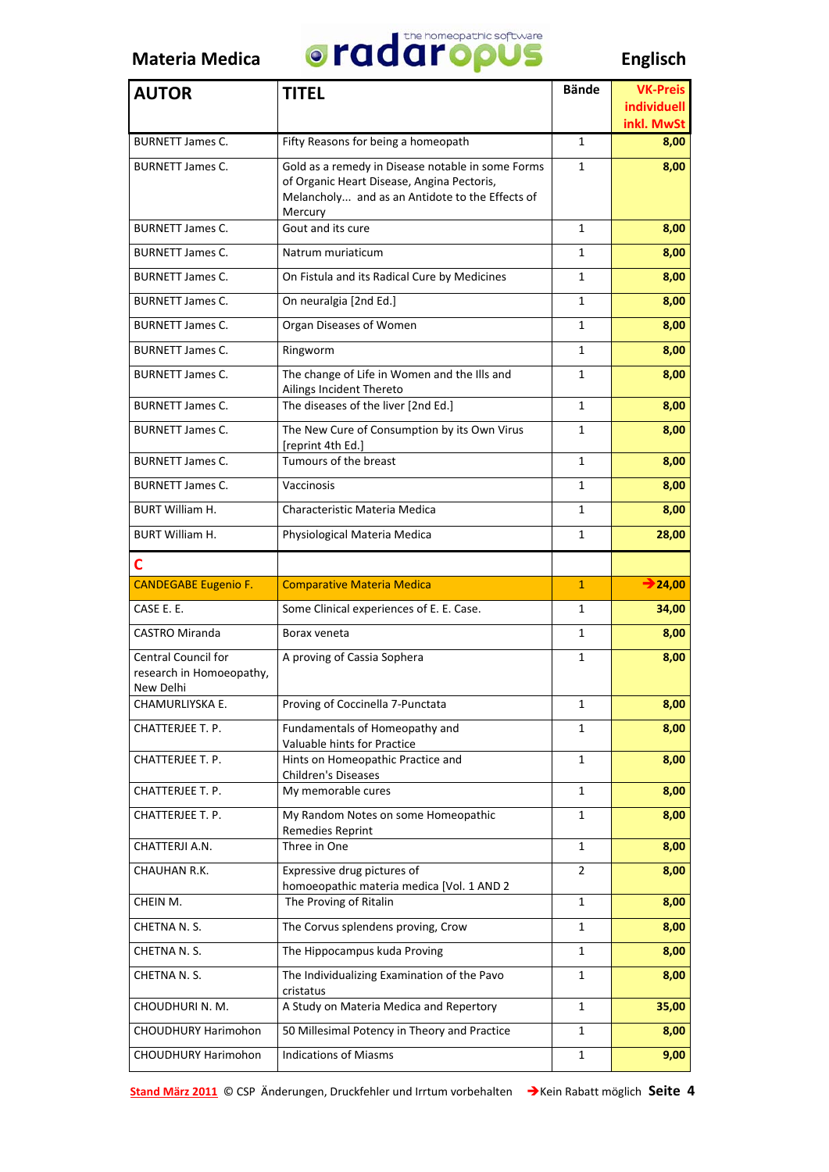

| <b>AUTOR</b>                                                        | <b>TITEL</b>                                                                                                                                                  | <b>Bände</b>   | <b>VK-Preis</b><br><b>individuell</b> |
|---------------------------------------------------------------------|---------------------------------------------------------------------------------------------------------------------------------------------------------------|----------------|---------------------------------------|
|                                                                     |                                                                                                                                                               |                | inkl. MwSt                            |
| <b>BURNETT James C.</b>                                             | Fifty Reasons for being a homeopath                                                                                                                           | 1              | 8,00                                  |
| <b>BURNETT James C.</b>                                             | Gold as a remedy in Disease notable in some Forms<br>of Organic Heart Disease, Angina Pectoris,<br>Melancholy and as an Antidote to the Effects of<br>Mercury | 1              | 8,00                                  |
| <b>BURNETT James C.</b>                                             | Gout and its cure                                                                                                                                             | $\mathbf{1}$   | 8,00                                  |
| <b>BURNETT James C.</b>                                             | Natrum muriaticum                                                                                                                                             | 1              | 8,00                                  |
| <b>BURNETT James C.</b>                                             | On Fistula and its Radical Cure by Medicines                                                                                                                  | $\mathbf{1}$   | 8,00                                  |
| <b>BURNETT James C.</b>                                             | On neuralgia [2nd Ed.]                                                                                                                                        | 1              | 8,00                                  |
| <b>BURNETT James C.</b>                                             | Organ Diseases of Women                                                                                                                                       | 1              | 8,00                                  |
| <b>BURNETT James C.</b>                                             | Ringworm                                                                                                                                                      | 1              | 8,00                                  |
| <b>BURNETT James C.</b>                                             | The change of Life in Women and the Ills and<br>Ailings Incident Thereto                                                                                      | 1              | 8,00                                  |
| <b>BURNETT James C.</b>                                             | The diseases of the liver [2nd Ed.]                                                                                                                           | 1              | 8,00                                  |
| <b>BURNETT James C.</b>                                             | The New Cure of Consumption by its Own Virus<br>[reprint 4th Ed.]                                                                                             | 1              | 8,00                                  |
| <b>BURNETT James C.</b>                                             | Tumours of the breast                                                                                                                                         | 1              | 8,00                                  |
| <b>BURNETT James C.</b>                                             | Vaccinosis                                                                                                                                                    | $\mathbf{1}$   | 8,00                                  |
| BURT William H.                                                     | Characteristic Materia Medica                                                                                                                                 | 1              | 8,00                                  |
| <b>BURT William H.</b>                                              | Physiological Materia Medica                                                                                                                                  | 1              | 28,00                                 |
| C                                                                   |                                                                                                                                                               |                |                                       |
| <b>CANDEGABE Eugenio F.</b>                                         | <b>Comparative Materia Medica</b>                                                                                                                             | $\mathbf{1}$   | $\rightarrow$ 24,00                   |
| CASE E. E.                                                          | Some Clinical experiences of E. E. Case.                                                                                                                      | $\mathbf{1}$   | 34,00                                 |
| <b>CASTRO Miranda</b>                                               | Borax veneta                                                                                                                                                  | 1              | 8,00                                  |
| <b>Central Council for</b><br>research in Homoeopathy,<br>New Delhi | A proving of Cassia Sophera                                                                                                                                   | 1              | 8,00                                  |
| CHAMURLIYSKA E.                                                     | Proving of Coccinella 7-Punctata                                                                                                                              | T.             | 8,00                                  |
| CHATTERJEE T. P.                                                    | Fundamentals of Homeopathy and<br>Valuable hints for Practice                                                                                                 | 1              | 8,00                                  |
| CHATTERJEE T. P.                                                    | Hints on Homeopathic Practice and<br>Children's Diseases                                                                                                      | 1              | 8,00                                  |
| CHATTERJEE T. P.                                                    | My memorable cures                                                                                                                                            | 1              | 8,00                                  |
| CHATTERJEE T. P.                                                    | My Random Notes on some Homeopathic<br>Remedies Reprint                                                                                                       | 1              | 8,00                                  |
| CHATTERJI A.N.                                                      | Three in One                                                                                                                                                  | $\mathbf{1}$   | 8,00                                  |
| CHAUHAN R.K.                                                        | Expressive drug pictures of<br>homoeopathic materia medica [Vol. 1 AND 2                                                                                      | $\overline{2}$ | 8,00                                  |
| CHEIN M.                                                            | The Proving of Ritalin                                                                                                                                        | 1              | 8,00                                  |
| CHETNA N.S.                                                         | The Corvus splendens proving, Crow                                                                                                                            | 1              | 8,00                                  |
| CHETNA N.S.                                                         | The Hippocampus kuda Proving                                                                                                                                  | 1              | 8,00                                  |
| CHETNA N.S.                                                         | The Individualizing Examination of the Pavo<br>cristatus                                                                                                      | 1              | 8,00                                  |
| CHOUDHURI N. M.                                                     | A Study on Materia Medica and Repertory                                                                                                                       | 1              | 35,00                                 |
| <b>CHOUDHURY Harimohon</b>                                          | 50 Millesimal Potency in Theory and Practice                                                                                                                  | 1              | 8,00                                  |
| <b>CHOUDHURY Harimohon</b>                                          | <b>Indications of Miasms</b>                                                                                                                                  | 1              | 9,00                                  |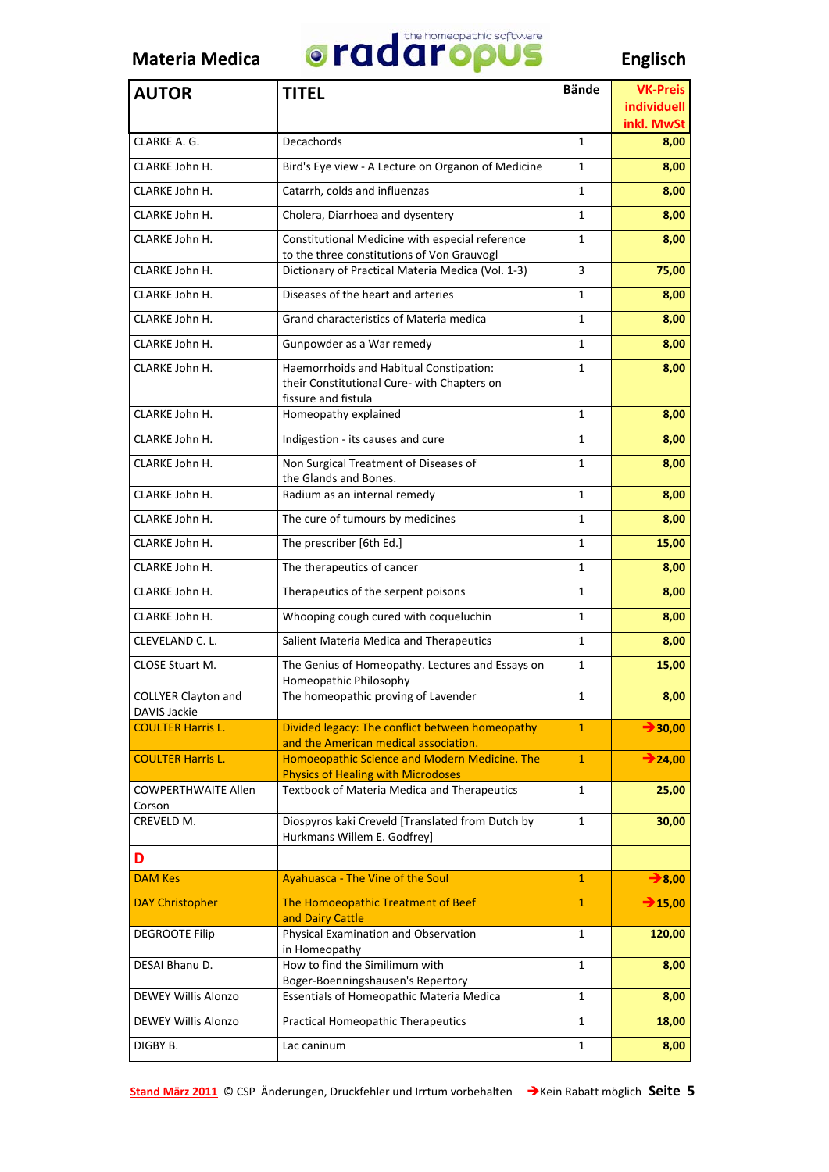

| <b>AUTOR</b>                                      | <b>TITEL</b>                                                                                                  | <b>Bände</b> | <b>VK-Preis</b>           |
|---------------------------------------------------|---------------------------------------------------------------------------------------------------------------|--------------|---------------------------|
|                                                   |                                                                                                               |              | individuell<br>inkl. MwSt |
| CLARKE A. G.                                      | Decachords                                                                                                    | 1            | 8,00                      |
| CLARKE John H.                                    | Bird's Eye view - A Lecture on Organon of Medicine                                                            | 1            | 8,00                      |
| CLARKE John H.                                    | Catarrh, colds and influenzas                                                                                 | $\mathbf{1}$ | 8,00                      |
| CLARKE John H.                                    | Cholera, Diarrhoea and dysentery                                                                              | 1            | 8,00                      |
| CLARKE John H.                                    | Constitutional Medicine with especial reference<br>to the three constitutions of Von Grauvogl                 | $\mathbf{1}$ | 8,00                      |
| CLARKE John H.                                    | Dictionary of Practical Materia Medica (Vol. 1-3)                                                             | 3            | 75,00                     |
| CLARKE John H.                                    | Diseases of the heart and arteries                                                                            | 1            | 8,00                      |
| CLARKE John H.                                    | Grand characteristics of Materia medica                                                                       | 1            | 8,00                      |
| CLARKE John H.                                    | Gunpowder as a War remedy                                                                                     | $\mathbf{1}$ | 8,00                      |
| CLARKE John H.                                    | Haemorrhoids and Habitual Constipation:<br>their Constitutional Cure- with Chapters on<br>fissure and fistula | $\mathbf{1}$ | 8,00                      |
| CLARKE John H.                                    | Homeopathy explained                                                                                          | 1            | 8,00                      |
| CLARKE John H.                                    | Indigestion - its causes and cure                                                                             | 1            | 8,00                      |
| CLARKE John H.                                    | Non Surgical Treatment of Diseases of<br>the Glands and Bones.                                                | 1            | 8,00                      |
| CLARKE John H.                                    | Radium as an internal remedy                                                                                  | 1            | 8,00                      |
| CLARKE John H.                                    | The cure of tumours by medicines                                                                              | $\mathbf{1}$ | 8,00                      |
| CLARKE John H.                                    | The prescriber [6th Ed.]                                                                                      | $\mathbf{1}$ | 15,00                     |
| CLARKE John H.                                    | The therapeutics of cancer                                                                                    | 1            | 8,00                      |
| CLARKE John H.                                    | Therapeutics of the serpent poisons                                                                           | 1            | 8,00                      |
| CLARKE John H.                                    | Whooping cough cured with coqueluchin                                                                         | 1            | 8,00                      |
| CLEVELAND C. L.                                   | Salient Materia Medica and Therapeutics                                                                       | 1            | 8,00                      |
| <b>CLOSE Stuart M.</b>                            | The Genius of Homeopathy. Lectures and Essays on<br>Homeopathic Philosophy                                    | 1            | 15,00                     |
| <b>COLLYER Clayton and</b><br><b>DAVIS Jackie</b> | The homeopathic proving of Lavender                                                                           | 1            | 8,00                      |
| <b>COULTER Harris L.</b>                          | Divided legacy: The conflict between homeopathy<br>and the American medical association.                      | $\mathbf{1}$ | $\rightarrow$ 30,00       |
| <b>COULTER Harris L.</b>                          | Homoeopathic Science and Modern Medicine. The<br><b>Physics of Healing with Microdoses</b>                    | $\mathbf{1}$ | $\rightarrow$ 24,00       |
| <b>COWPERTHWAITE Allen</b>                        | Textbook of Materia Medica and Therapeutics                                                                   | $\mathbf{1}$ | 25,00                     |
| Corson<br>CREVELD M.                              | Diospyros kaki Creveld [Translated from Dutch by                                                              | 1            | 30,00                     |
| D                                                 | Hurkmans Willem E. Godfrey]                                                                                   |              |                           |
| <b>DAM Kes</b>                                    | <b>Ayahuasca - The Vine of the Soul</b>                                                                       | $\mathbf{1}$ | $\rightarrow$ 8,00        |
| <b>DAY Christopher</b>                            | The Homoeopathic Treatment of Beef                                                                            | $\mathbf{1}$ | $\rightarrow$ 15,00       |
|                                                   | and Dairy Cattle                                                                                              |              |                           |
| <b>DEGROOTE Filip</b>                             | Physical Examination and Observation<br>in Homeopathy                                                         | 1            | 120,00                    |
| DESAI Bhanu D.                                    | How to find the Similimum with                                                                                | 1            | 8,00                      |
| DEWEY Willis Alonzo                               | Boger-Boenningshausen's Repertory<br>Essentials of Homeopathic Materia Medica                                 | 1            | 8,00                      |
| <b>DEWEY Willis Alonzo</b>                        | Practical Homeopathic Therapeutics                                                                            | $\mathbf{1}$ | 18,00                     |
| DIGBY B.                                          | Lac caninum                                                                                                   | 1            | 8,00                      |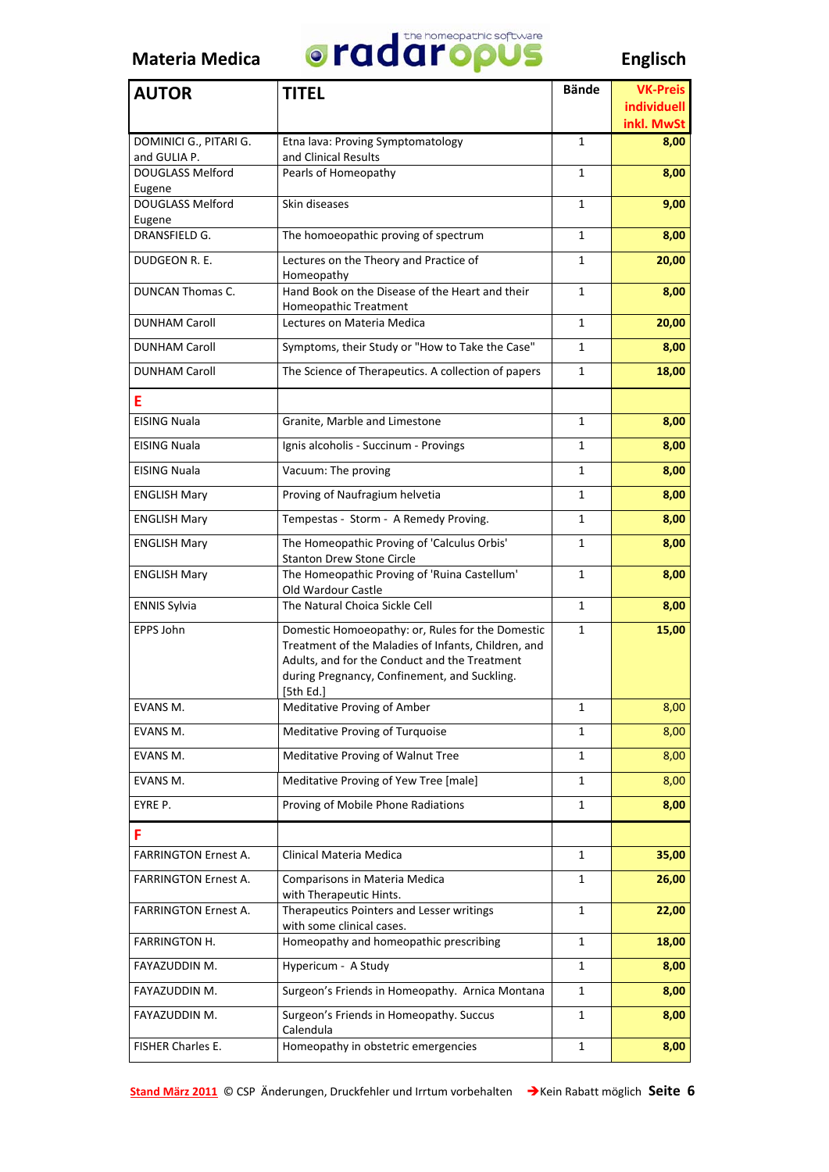

| <b>AUTOR</b>                           | <b>TITEL</b>                                                                                                                                                                                                          | <b>Bände</b> | <b>VK-Preis</b>           |
|----------------------------------------|-----------------------------------------------------------------------------------------------------------------------------------------------------------------------------------------------------------------------|--------------|---------------------------|
|                                        |                                                                                                                                                                                                                       |              | individuell<br>inkl. MwSt |
| DOMINICI G., PITARI G.<br>and GULIA P. | Etna lava: Proving Symptomatology<br>and Clinical Results                                                                                                                                                             | $\mathbf{1}$ | 8,00                      |
| <b>DOUGLASS Melford</b><br>Eugene      | Pearls of Homeopathy                                                                                                                                                                                                  | 1            | 8,00                      |
| DOUGLASS Melford<br>Eugene             | Skin diseases                                                                                                                                                                                                         | 1            | 9,00                      |
| DRANSFIELD G.                          | The homoeopathic proving of spectrum                                                                                                                                                                                  | 1            | 8,00                      |
| DUDGEON R. E.                          | Lectures on the Theory and Practice of<br>Homeopathy                                                                                                                                                                  | 1            | 20,00                     |
| DUNCAN Thomas C.                       | Hand Book on the Disease of the Heart and their<br><b>Homeopathic Treatment</b>                                                                                                                                       | 1            | 8,00                      |
| <b>DUNHAM Caroll</b>                   | Lectures on Materia Medica                                                                                                                                                                                            | 1            | 20,00                     |
| <b>DUNHAM Caroll</b>                   | Symptoms, their Study or "How to Take the Case"                                                                                                                                                                       | 1            | 8,00                      |
| <b>DUNHAM Caroll</b>                   | The Science of Therapeutics. A collection of papers                                                                                                                                                                   | 1            | 18,00                     |
| Ε                                      |                                                                                                                                                                                                                       |              |                           |
| <b>EISING Nuala</b>                    | Granite, Marble and Limestone                                                                                                                                                                                         | $\mathbf{1}$ | 8,00                      |
| <b>EISING Nuala</b>                    | Ignis alcoholis - Succinum - Provings                                                                                                                                                                                 | 1            | 8,00                      |
| <b>EISING Nuala</b>                    | Vacuum: The proving                                                                                                                                                                                                   | 1            | 8,00                      |
| <b>ENGLISH Mary</b>                    | Proving of Naufragium helvetia                                                                                                                                                                                        | $\mathbf{1}$ | 8,00                      |
| <b>ENGLISH Mary</b>                    | Tempestas - Storm - A Remedy Proving.                                                                                                                                                                                 | 1            | 8,00                      |
| <b>ENGLISH Mary</b>                    | The Homeopathic Proving of 'Calculus Orbis'<br><b>Stanton Drew Stone Circle</b>                                                                                                                                       | 1            | 8,00                      |
| <b>ENGLISH Mary</b>                    | The Homeopathic Proving of 'Ruina Castellum'<br>Old Wardour Castle                                                                                                                                                    | 1            | 8,00                      |
| <b>ENNIS Sylvia</b>                    | The Natural Choica Sickle Cell                                                                                                                                                                                        | 1            | 8,00                      |
| EPPS John                              | Domestic Homoeopathy: or, Rules for the Domestic<br>Treatment of the Maladies of Infants, Children, and<br>Adults, and for the Conduct and the Treatment<br>during Pregnancy, Confinement, and Suckling.<br>[5th Ed.] | 1            | 15,00                     |
| EVANS M.                               | Meditative Proving of Amber                                                                                                                                                                                           | 1            | 8,00                      |
| EVANS M.                               | Meditative Proving of Turquoise                                                                                                                                                                                       | 1            | 8,00                      |
| EVANS M.                               | Meditative Proving of Walnut Tree                                                                                                                                                                                     | 1            | 8,00                      |
| EVANS M.                               | Meditative Proving of Yew Tree [male]                                                                                                                                                                                 | 1            | 8,00                      |
| EYRE P.                                | Proving of Mobile Phone Radiations                                                                                                                                                                                    | 1            | 8,00                      |
| F                                      |                                                                                                                                                                                                                       |              |                           |
| <b>FARRINGTON Ernest A.</b>            | Clinical Materia Medica                                                                                                                                                                                               | 1            | 35,00                     |
| <b>FARRINGTON Ernest A.</b>            | Comparisons in Materia Medica<br>with Therapeutic Hints.                                                                                                                                                              | 1            | 26,00                     |
| <b>FARRINGTON Ernest A.</b>            | Therapeutics Pointers and Lesser writings<br>with some clinical cases.                                                                                                                                                | 1            | 22,00                     |
| <b>FARRINGTON H.</b>                   | Homeopathy and homeopathic prescribing                                                                                                                                                                                | 1            | 18,00                     |
| FAYAZUDDIN M.                          | Hypericum - A Study                                                                                                                                                                                                   | $\mathbf{1}$ | 8,00                      |
| FAYAZUDDIN M.                          | Surgeon's Friends in Homeopathy. Arnica Montana                                                                                                                                                                       | 1            | 8,00                      |
| FAYAZUDDIN M.                          | Surgeon's Friends in Homeopathy. Succus<br>Calendula                                                                                                                                                                  | 1            | 8,00                      |
| FISHER Charles E.                      | Homeopathy in obstetric emergencies                                                                                                                                                                                   | 1            | 8,00                      |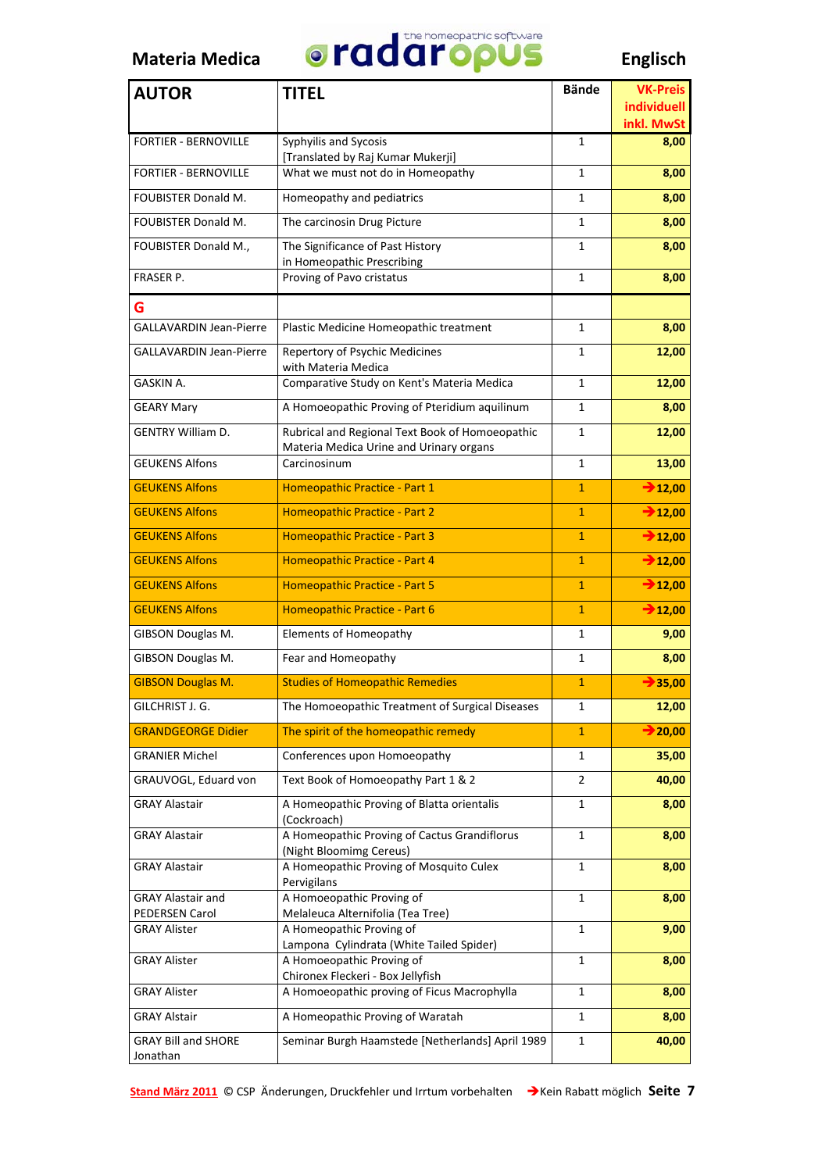

| <b>AUTOR</b>                          | <b>TITEL</b>                                                                               | <b>Bände</b>   | <b>VK-Preis</b>           |
|---------------------------------------|--------------------------------------------------------------------------------------------|----------------|---------------------------|
|                                       |                                                                                            |                | individuell<br>inkl. MwSt |
| <b>FORTIER - BERNOVILLE</b>           | Syphyilis and Sycosis                                                                      | $\mathbf{1}$   | 8,00                      |
|                                       | [Translated by Raj Kumar Mukerji]                                                          |                |                           |
| <b>FORTIER - BERNOVILLE</b>           | What we must not do in Homeopathy                                                          | 1              | 8,00                      |
| <b>FOUBISTER Donald M.</b>            | Homeopathy and pediatrics                                                                  | 1              | 8,00                      |
| <b>FOUBISTER Donald M.</b>            | The carcinosin Drug Picture                                                                | 1              | 8,00                      |
| FOUBISTER Donald M.,                  | The Significance of Past History<br>in Homeopathic Prescribing                             | 1              | 8,00                      |
| FRASER P.                             | Proving of Pavo cristatus                                                                  | 1              | 8,00                      |
| G                                     |                                                                                            |                |                           |
| <b>GALLAVARDIN Jean-Pierre</b>        | Plastic Medicine Homeopathic treatment                                                     | 1              | 8,00                      |
| <b>GALLAVARDIN Jean-Pierre</b>        | Repertory of Psychic Medicines<br>with Materia Medica                                      | 1              | 12,00                     |
| GASKIN A.                             | Comparative Study on Kent's Materia Medica                                                 | 1              | 12,00                     |
| <b>GEARY Mary</b>                     | A Homoeopathic Proving of Pteridium aquilinum                                              | 1              | 8,00                      |
| <b>GENTRY William D.</b>              | Rubrical and Regional Text Book of Homoeopathic<br>Materia Medica Urine and Urinary organs | 1              | 12,00                     |
| <b>GEUKENS Alfons</b>                 | Carcinosinum                                                                               | 1              | 13,00                     |
| <b>GEUKENS Alfons</b>                 | Homeopathic Practice - Part 1                                                              | $\mathbf{1}$   | $\rightarrow$ 12,00       |
| <b>GEUKENS Alfons</b>                 | Homeopathic Practice - Part 2                                                              | $\mathbf{1}$   | $\rightarrow$ 12,00       |
| <b>GEUKENS Alfons</b>                 | Homeopathic Practice - Part 3                                                              | $\mathbf{1}$   | $\rightarrow$ 12,00       |
| <b>GEUKENS Alfons</b>                 | Homeopathic Practice - Part 4                                                              | $\overline{1}$ | $\rightarrow$ 12,00       |
| <b>GEUKENS Alfons</b>                 | Homeopathic Practice - Part 5                                                              | $\overline{1}$ | $\rightarrow$ 12,00       |
| <b>GEUKENS Alfons</b>                 | Homeopathic Practice - Part 6                                                              | $\mathbf{1}$   | $\rightarrow$ 12,00       |
| GIBSON Douglas M.                     | <b>Elements of Homeopathy</b>                                                              | 1              | 9,00                      |
| GIBSON Douglas M.                     | Fear and Homeopathy                                                                        | 1              | 8,00                      |
| <b>GIBSON Douglas M.</b>              | <b>Studies of Homeopathic Remedies</b>                                                     | $\mathbf{1}$   | $\rightarrow 35,00$       |
| GILCHRIST J. G.                       | The Homoeopathic Treatment of Surgical Diseases                                            | 1              | 12,00                     |
| <b>GRANDGEORGE Didier</b>             | The spirit of the homeopathic remedy                                                       | $\mathbf{1}$   | 20,00                     |
| <b>GRANIER Michel</b>                 | Conferences upon Homoeopathy                                                               | 1              | 35,00                     |
| GRAUVOGL, Eduard von                  | Text Book of Homoeopathy Part 1 & 2                                                        | 2              | 40,00                     |
| <b>GRAY Alastair</b>                  | A Homeopathic Proving of Blatta orientalis                                                 | 1              | 8,00                      |
|                                       | (Cockroach)                                                                                |                |                           |
| GRAY Alastair                         | A Homeopathic Proving of Cactus Grandiflorus<br>(Night Bloomimg Cereus)                    | 1              | 8,00                      |
| <b>GRAY Alastair</b>                  | A Homeopathic Proving of Mosquito Culex<br>Pervigilans                                     | 1              | 8,00                      |
| <b>GRAY Alastair and</b>              | A Homoeopathic Proving of                                                                  | 1              | 8,00                      |
| PEDERSEN Carol<br><b>GRAY Alister</b> | Melaleuca Alternifolia (Tea Tree)<br>A Homeopathic Proving of                              | $\mathbf{1}$   | 9,00                      |
|                                       | Lampona Cylindrata (White Tailed Spider)                                                   |                |                           |
| <b>GRAY Alister</b>                   | A Homoeopathic Proving of<br>Chironex Fleckeri - Box Jellyfish                             | 1              | 8,00                      |
| <b>GRAY Alister</b>                   | A Homoeopathic proving of Ficus Macrophylla                                                | 1              | 8,00                      |
| <b>GRAY Alstair</b>                   | A Homeopathic Proving of Waratah                                                           | $\mathbf{1}$   | 8,00                      |
| <b>GRAY Bill and SHORE</b>            | Seminar Burgh Haamstede [Netherlands] April 1989                                           | 1              | 40,00                     |
| Jonathan                              |                                                                                            |                |                           |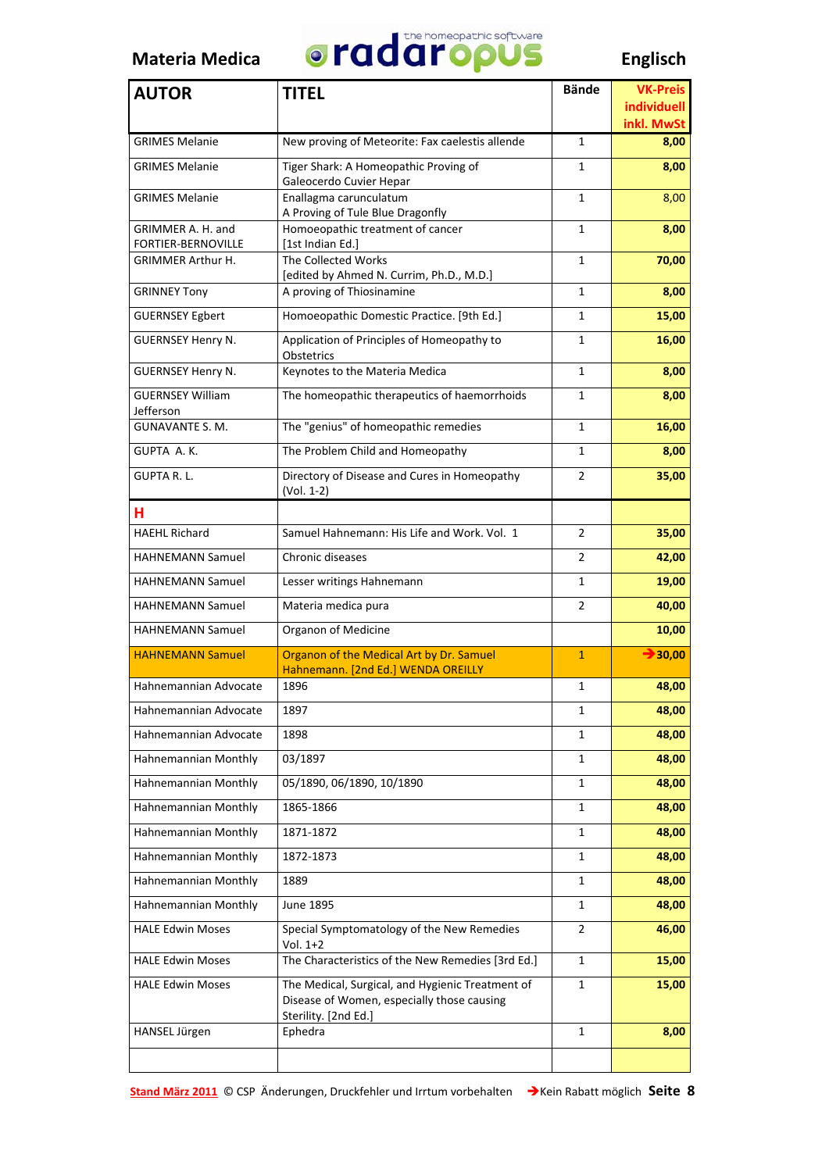

| <b>AUTOR</b>                                   | <b>TITEL</b>                                                                                                           | <b>Bände</b>   | <b>VK-Preis</b>                  |
|------------------------------------------------|------------------------------------------------------------------------------------------------------------------------|----------------|----------------------------------|
|                                                |                                                                                                                        |                | <b>individuell</b><br>inkl. MwSt |
| <b>GRIMES Melanie</b>                          | New proving of Meteorite: Fax caelestis allende                                                                        | $\mathbf{1}$   | 8,00                             |
| <b>GRIMES Melanie</b>                          | Tiger Shark: A Homeopathic Proving of<br>Galeocerdo Cuvier Hepar                                                       | 1              | 8,00                             |
| <b>GRIMES Melanie</b>                          | Enallagma carunculatum<br>A Proving of Tule Blue Dragonfly                                                             | 1              | 8,00                             |
| GRIMMER A. H. and                              | Homoeopathic treatment of cancer                                                                                       | 1              | 8,00                             |
| FORTIER-BERNOVILLE<br><b>GRIMMER Arthur H.</b> | [1st Indian Ed.]<br>The Collected Works                                                                                | 1              | 70,00                            |
|                                                | [edited by Ahmed N. Currim, Ph.D., M.D.]                                                                               |                |                                  |
| <b>GRINNEY Tony</b>                            | A proving of Thiosinamine                                                                                              | 1              | 8,00                             |
| <b>GUERNSEY Egbert</b>                         | Homoeopathic Domestic Practice. [9th Ed.]                                                                              | 1              | 15,00                            |
| <b>GUERNSEY Henry N.</b>                       | Application of Principles of Homeopathy to<br>Obstetrics                                                               | 1              | 16,00                            |
| <b>GUERNSEY Henry N.</b>                       | Keynotes to the Materia Medica                                                                                         | $\mathbf{1}$   | 8,00                             |
| <b>GUERNSEY William</b><br>Jefferson           | The homeopathic therapeutics of haemorrhoids                                                                           | 1              | 8,00                             |
| <b>GUNAVANTE S. M.</b>                         | The "genius" of homeopathic remedies                                                                                   | 1              | 16,00                            |
| GUPTA A.K.                                     | The Problem Child and Homeopathy                                                                                       | 1              | 8,00                             |
| <b>GUPTA R.L.</b>                              | Directory of Disease and Cures in Homeopathy<br>(Vol. 1-2)                                                             | $\overline{2}$ | 35,00                            |
| н                                              |                                                                                                                        |                |                                  |
| <b>HAEHL Richard</b>                           | Samuel Hahnemann: His Life and Work. Vol. 1                                                                            | 2              | 35,00                            |
| <b>HAHNEMANN Samuel</b>                        | <b>Chronic diseases</b>                                                                                                | 2              | 42,00                            |
| <b>HAHNEMANN Samuel</b>                        | Lesser writings Hahnemann                                                                                              | 1              | 19,00                            |
| <b>HAHNEMANN Samuel</b>                        | Materia medica pura                                                                                                    | 2              | 40,00                            |
| <b>HAHNEMANN Samuel</b>                        | Organon of Medicine                                                                                                    |                | 10,00                            |
| <b>HAHNEMANN Samuel</b>                        | Organon of the Medical Art by Dr. Samuel<br>Hahnemann. [2nd Ed.] WENDA OREILLY                                         | $\mathbf{1}$   | $\rightarrow 30,00$              |
| Hahnemannian Advocate                          | 1896                                                                                                                   | 1              | 48,00                            |
| Hahnemannian Advocate                          | 1897                                                                                                                   | 1              | 48,00                            |
| Hahnemannian Advocate                          | 1898                                                                                                                   | $\mathbf{1}$   | 48,00                            |
| Hahnemannian Monthly                           | 03/1897                                                                                                                | 1              | 48,00                            |
| Hahnemannian Monthly                           | 05/1890, 06/1890, 10/1890                                                                                              | 1              | 48,00                            |
| Hahnemannian Monthly                           | 1865-1866                                                                                                              | 1              | 48,00                            |
| Hahnemannian Monthly                           | 1871-1872                                                                                                              | 1              | 48,00                            |
| Hahnemannian Monthly                           | 1872-1873                                                                                                              | 1              | 48,00                            |
| Hahnemannian Monthly                           | 1889                                                                                                                   | 1              | 48,00                            |
| Hahnemannian Monthly                           | June 1895                                                                                                              | 1              | 48,00                            |
| <b>HALE Edwin Moses</b>                        | Special Symptomatology of the New Remedies<br>$Vol. 1+2$                                                               | 2              | 46,00                            |
| <b>HALE Edwin Moses</b>                        | The Characteristics of the New Remedies [3rd Ed.]                                                                      | 1              | 15,00                            |
| <b>HALE Edwin Moses</b>                        | The Medical, Surgical, and Hygienic Treatment of<br>Disease of Women, especially those causing<br>Sterility. [2nd Ed.] | $\mathbf{1}$   | 15,00                            |
| HANSEL Jürgen                                  | Ephedra                                                                                                                | 1              | 8,00                             |
|                                                |                                                                                                                        |                |                                  |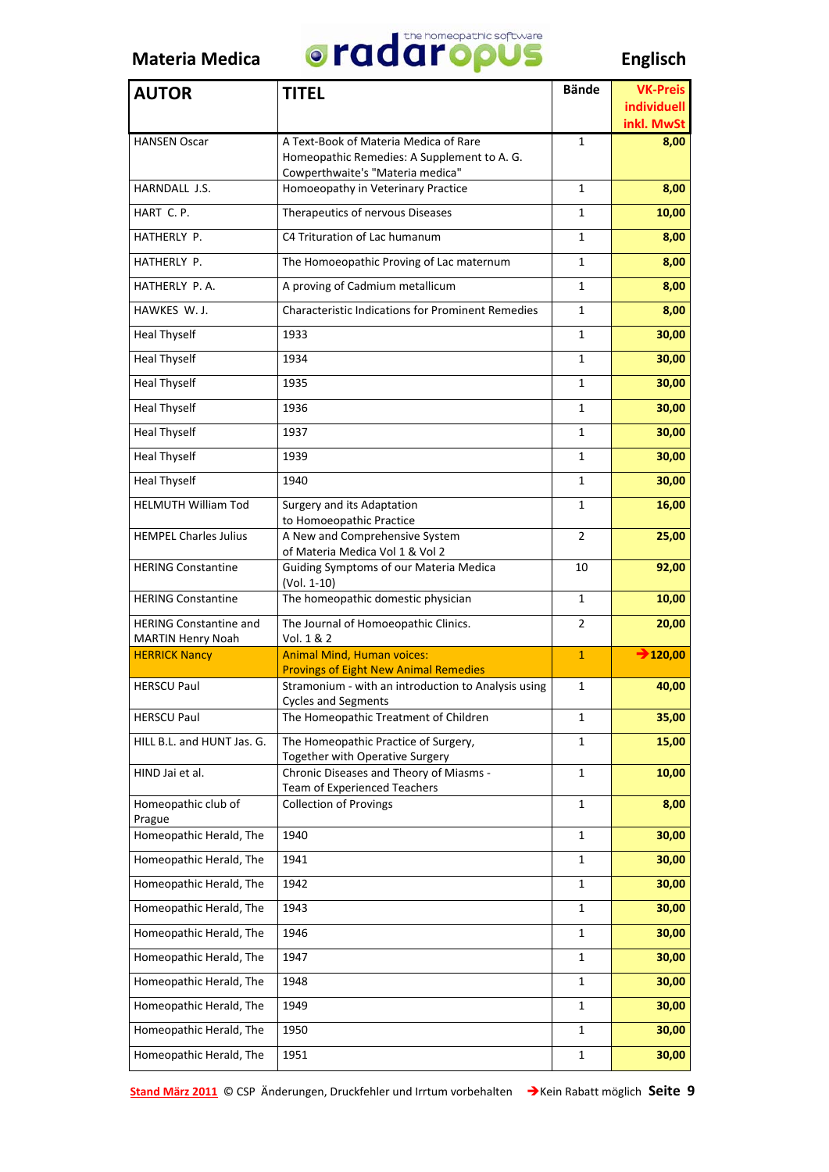

| <b>AUTOR</b>                                     | <b>TITEL</b>                                                                      | <b>Bände</b>   | <b>VK-Preis</b>           |
|--------------------------------------------------|-----------------------------------------------------------------------------------|----------------|---------------------------|
|                                                  |                                                                                   |                | individuell<br>inkl. MwSt |
| <b>HANSEN Oscar</b>                              | A Text-Book of Materia Medica of Rare                                             | 1              | 8,00                      |
|                                                  | Homeopathic Remedies: A Supplement to A. G.                                       |                |                           |
| HARNDALL J.S.                                    | Cowperthwaite's "Materia medica"<br>Homoeopathy in Veterinary Practice            | $\mathbf{1}$   | 8,00                      |
| HART C.P.                                        | Therapeutics of nervous Diseases                                                  | 1              | 10,00                     |
| HATHERLY P.                                      | C4 Trituration of Lac humanum                                                     | 1              | 8,00                      |
| HATHERLY P.                                      | The Homoeopathic Proving of Lac maternum                                          | $\mathbf{1}$   | 8,00                      |
| HATHERLY P.A.                                    | A proving of Cadmium metallicum                                                   | 1              | 8,00                      |
| HAWKES W. J.                                     | <b>Characteristic Indications for Prominent Remedies</b>                          | $\mathbf{1}$   | 8,00                      |
| <b>Heal Thyself</b>                              | 1933                                                                              | $\mathbf{1}$   | 30,00                     |
| <b>Heal Thyself</b>                              | 1934                                                                              | $\mathbf{1}$   | 30,00                     |
| <b>Heal Thyself</b>                              | 1935                                                                              | 1              | 30,00                     |
| <b>Heal Thyself</b>                              | 1936                                                                              | $\mathbf{1}$   | 30,00                     |
| <b>Heal Thyself</b>                              | 1937                                                                              | 1              | 30,00                     |
| <b>Heal Thyself</b>                              | 1939                                                                              | $\mathbf{1}$   | 30,00                     |
| <b>Heal Thyself</b>                              | 1940                                                                              | 1              | 30,00                     |
| <b>HELMUTH William Tod</b>                       | Surgery and its Adaptation<br>to Homoeopathic Practice                            | $\mathbf{1}$   | 16,00                     |
| <b>HEMPEL Charles Julius</b>                     | A New and Comprehensive System<br>of Materia Medica Vol 1 & Vol 2                 | $\overline{2}$ | 25,00                     |
| <b>HERING Constantine</b>                        | Guiding Symptoms of our Materia Medica<br>(Vol. 1-10)                             | 10             | 92,00                     |
| <b>HERING Constantine</b>                        | The homeopathic domestic physician                                                | 1              | 10,00                     |
| <b>HERING Constantine and</b>                    | The Journal of Homoeopathic Clinics.                                              | $\overline{2}$ | 20,00                     |
| <b>MARTIN Henry Noah</b><br><b>HERRICK Nancy</b> | Vol. 1 & 2<br><b>Animal Mind, Human voices:</b>                                   | $\mathbf{1}$   | $\rightarrow$ 120,00      |
|                                                  | <b>Provings of Eight New Animal Remedies</b>                                      |                |                           |
| <b>HERSCU Paul</b>                               | Stramonium - with an introduction to Analysis using<br><b>Cycles and Segments</b> | 1              | 40,00                     |
| <b>HERSCU Paul</b>                               | The Homeopathic Treatment of Children                                             | 1              | 35,00                     |
| HILL B.L. and HUNT Jas. G.                       | The Homeopathic Practice of Surgery,<br>Together with Operative Surgery           | 1              | 15,00                     |
| HIND Jai et al.                                  | Chronic Diseases and Theory of Miasms -<br><b>Team of Experienced Teachers</b>    | $\mathbf{1}$   | 10,00                     |
| Homeopathic club of                              | <b>Collection of Provings</b>                                                     | $\mathbf{1}$   | 8,00                      |
| Prague<br>Homeopathic Herald, The                | 1940                                                                              | $\mathbf{1}$   | 30,00                     |
| Homeopathic Herald, The                          | 1941                                                                              | 1              | 30,00                     |
| Homeopathic Herald, The                          | 1942                                                                              | 1              | 30,00                     |
| Homeopathic Herald, The                          | 1943                                                                              | 1              | 30,00                     |
| Homeopathic Herald, The                          | 1946                                                                              | 1              | 30,00                     |
| Homeopathic Herald, The                          | 1947                                                                              | 1              | 30,00                     |
| Homeopathic Herald, The                          | 1948                                                                              | 1              | 30,00                     |
| Homeopathic Herald, The                          | 1949                                                                              | 1              | 30,00                     |
| Homeopathic Herald, The                          | 1950                                                                              | 1              | 30,00                     |
| Homeopathic Herald, The                          | 1951                                                                              | 1              | 30,00                     |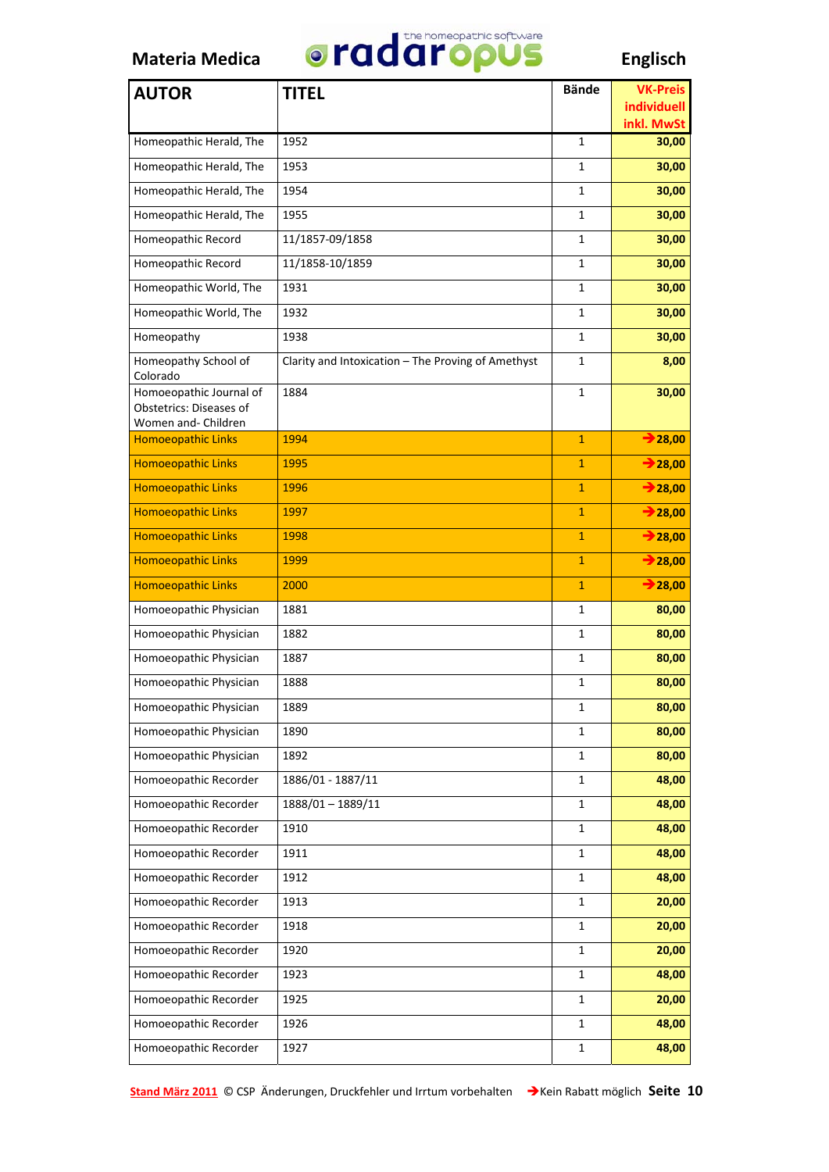

| <b>AUTOR</b>                                       | <b>TITEL</b>                                       | <b>Bände</b> | <b>VK-Preis</b>           |
|----------------------------------------------------|----------------------------------------------------|--------------|---------------------------|
|                                                    |                                                    |              | individuell<br>inkl. MwSt |
| Homeopathic Herald, The                            | 1952                                               | $\mathbf{1}$ | 30,00                     |
| Homeopathic Herald, The                            | 1953                                               | 1            | 30,00                     |
| Homeopathic Herald, The                            | 1954                                               | 1            | 30,00                     |
| Homeopathic Herald, The                            | 1955                                               | 1            | 30,00                     |
| Homeopathic Record                                 | 11/1857-09/1858                                    | 1            | 30,00                     |
| Homeopathic Record                                 | 11/1858-10/1859                                    | 1            | 30,00                     |
| Homeopathic World, The                             | 1931                                               | 1            | 30,00                     |
| Homeopathic World, The                             | 1932                                               | 1            | 30,00                     |
| Homeopathy                                         | 1938                                               | 1            | 30,00                     |
| Homeopathy School of<br>Colorado                   | Clarity and Intoxication - The Proving of Amethyst | 1            | 8,00                      |
| Homoeopathic Journal of<br>Obstetrics: Diseases of | 1884                                               | 1            | 30,00                     |
| Women and- Children                                |                                                    |              |                           |
| <b>Homoeopathic Links</b>                          | 1994                                               | $\mathbf{1}$ | $\rightarrow$ 28,00       |
| <b>Homoeopathic Links</b>                          | 1995                                               | $\mathbf{1}$ | $\rightarrow 28,00$       |
| <b>Homoeopathic Links</b>                          | 1996                                               | $\mathbf{1}$ | $\rightarrow 28,00$       |
| <b>Homoeopathic Links</b>                          | 1997                                               | $\mathbf{1}$ | $\rightarrow$ 28,00       |
| <b>Homoeopathic Links</b>                          | 1998                                               | $\mathbf{1}$ | $\rightarrow$ 28,00       |
| <b>Homoeopathic Links</b>                          | 1999                                               | $\mathbf{1}$ | $\rightarrow$ 28,00       |
| <b>Homoeopathic Links</b>                          | 2000                                               | $\mathbf{1}$ | $\rightarrow$ 28,00       |
| Homoeopathic Physician                             | 1881                                               | 1            | 80,00                     |
| Homoeopathic Physician                             | 1882                                               | 1            | 80,00                     |
| Homoeopathic Physician                             | 1887                                               | 1            | 80,00                     |
| Homoeopathic Physician                             | 1888                                               | 1            | 80,00                     |
| Homoeopathic Physician                             | 1889                                               | 1            | 80,00                     |
| Homoeopathic Physician                             | 1890                                               | 1            | 80,00                     |
| Homoeopathic Physician                             | 1892                                               | 1            | 80,00                     |
| Homoeopathic Recorder                              | 1886/01 - 1887/11                                  | $\mathbf{1}$ | 48,00                     |
| Homoeopathic Recorder                              | 1888/01-1889/11                                    | 1            | 48,00                     |
| Homoeopathic Recorder                              | 1910                                               | $\mathbf{1}$ | 48,00                     |
| Homoeopathic Recorder                              | 1911                                               | 1            | 48,00                     |
| Homoeopathic Recorder                              | 1912                                               | 1            | 48,00                     |
| Homoeopathic Recorder                              | 1913                                               | 1            | 20,00                     |
| Homoeopathic Recorder                              | 1918                                               | 1            | 20,00                     |
| Homoeopathic Recorder                              | 1920                                               | 1            | 20,00                     |
| Homoeopathic Recorder                              | 1923                                               | 1            | 48,00                     |
| Homoeopathic Recorder                              | 1925                                               | 1            | 20,00                     |
| Homoeopathic Recorder                              | 1926                                               | 1            | 48,00                     |
| Homoeopathic Recorder                              | 1927                                               | 1            | 48,00                     |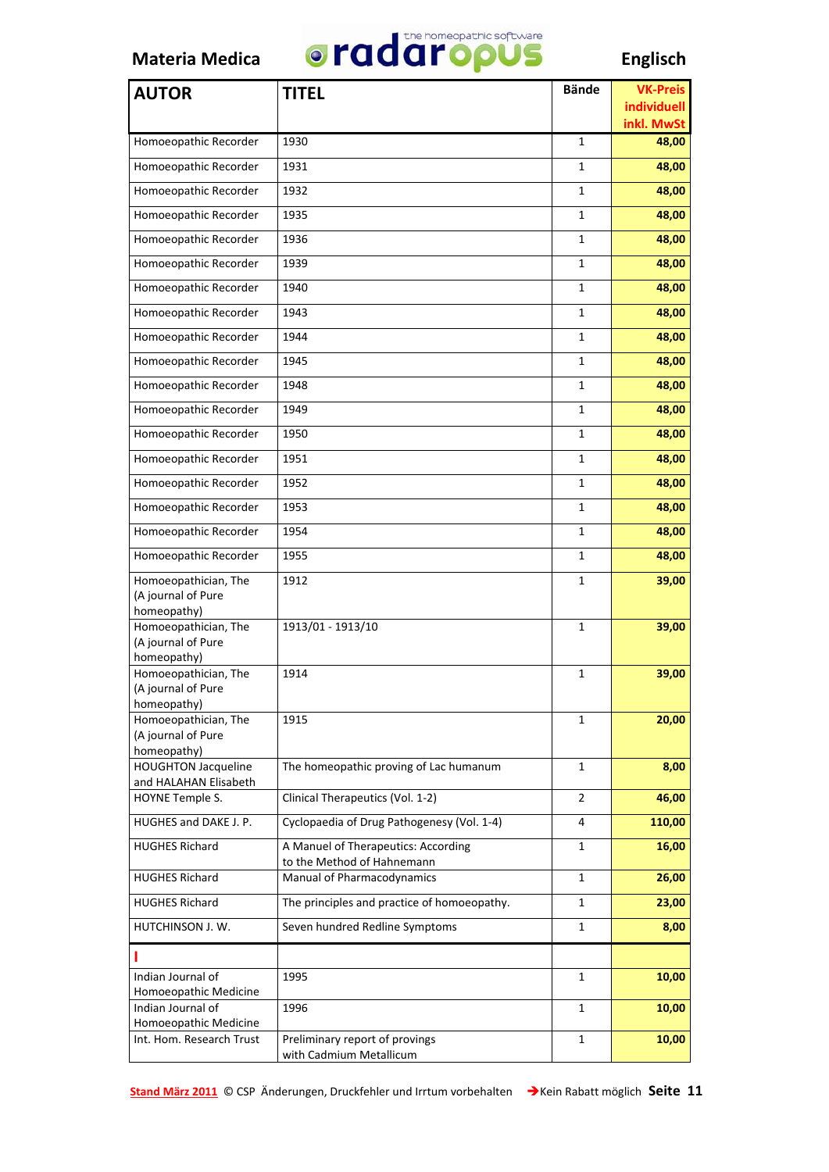

| <b>AUTOR</b>                                              | <b>TITEL</b>                                                      | <b>Bände</b> | <b>VK-Preis</b>     |
|-----------------------------------------------------------|-------------------------------------------------------------------|--------------|---------------------|
|                                                           |                                                                   |              | individuell         |
| Homoeopathic Recorder                                     | 1930                                                              | $\mathbf{1}$ | inkl. MwSt<br>48,00 |
| Homoeopathic Recorder                                     | 1931                                                              | 1            | 48,00               |
| Homoeopathic Recorder                                     | 1932                                                              | $\mathbf{1}$ | 48,00               |
| Homoeopathic Recorder                                     | 1935                                                              | 1            | 48,00               |
| Homoeopathic Recorder                                     | 1936                                                              |              |                     |
|                                                           |                                                                   | 1            | 48,00               |
| Homoeopathic Recorder                                     | 1939                                                              | 1            | 48,00               |
| Homoeopathic Recorder                                     | 1940                                                              | 1            | 48,00               |
| Homoeopathic Recorder                                     | 1943                                                              | 1            | 48,00               |
| Homoeopathic Recorder                                     | 1944                                                              | 1            | 48,00               |
| Homoeopathic Recorder                                     | 1945                                                              | 1            | 48,00               |
| Homoeopathic Recorder                                     | 1948                                                              | 1            | 48,00               |
| Homoeopathic Recorder                                     | 1949                                                              | 1            | 48,00               |
| Homoeopathic Recorder                                     | 1950                                                              | 1            | 48,00               |
| Homoeopathic Recorder                                     | 1951                                                              | 1            | 48,00               |
| Homoeopathic Recorder                                     | 1952                                                              | 1            | 48,00               |
| Homoeopathic Recorder                                     | 1953                                                              | 1            | 48,00               |
| Homoeopathic Recorder                                     | 1954                                                              | 1            | 48,00               |
| Homoeopathic Recorder                                     | 1955                                                              | 1            | 48,00               |
| Homoeopathician, The<br>(A journal of Pure<br>homeopathy) | 1912                                                              | 1            | 39,00               |
| Homoeopathician, The<br>(A journal of Pure<br>homeopathy) | 1913/01 - 1913/10                                                 | $\mathbf{1}$ | 39,00               |
| Homoeopathician, The<br>(A journal of Pure<br>homeopathy) | 1914                                                              | 1            | 39,00               |
| Homoeopathician, The<br>(A journal of Pure<br>homeopathy) | 1915                                                              | 1            | 20,00               |
| <b>HOUGHTON Jacqueline</b><br>and HALAHAN Elisabeth       | The homeopathic proving of Lac humanum                            | 1            | 8,00                |
| HOYNE Temple S.                                           | Clinical Therapeutics (Vol. 1-2)                                  | 2            | 46,00               |
| HUGHES and DAKE J. P.                                     | Cyclopaedia of Drug Pathogenesy (Vol. 1-4)                        | 4            | 110,00              |
| <b>HUGHES Richard</b>                                     | A Manuel of Therapeutics: According<br>to the Method of Hahnemann | 1            | 16,00               |
| <b>HUGHES Richard</b>                                     | Manual of Pharmacodynamics                                        | 1            | 26,00               |
| <b>HUGHES Richard</b>                                     | The principles and practice of homoeopathy.                       | 1            | 23,00               |
| HUTCHINSON J.W.                                           | Seven hundred Redline Symptoms                                    | 1            | 8,00                |
| П                                                         |                                                                   |              |                     |
| Indian Journal of                                         | 1995                                                              | 1            | 10,00               |
| Homoeopathic Medicine<br>Indian Journal of                | 1996                                                              | 1            | 10,00               |
| Homoeopathic Medicine                                     |                                                                   |              |                     |
| Int. Hom. Research Trust                                  | Preliminary report of provings<br>with Cadmium Metallicum         | 1            | 10,00               |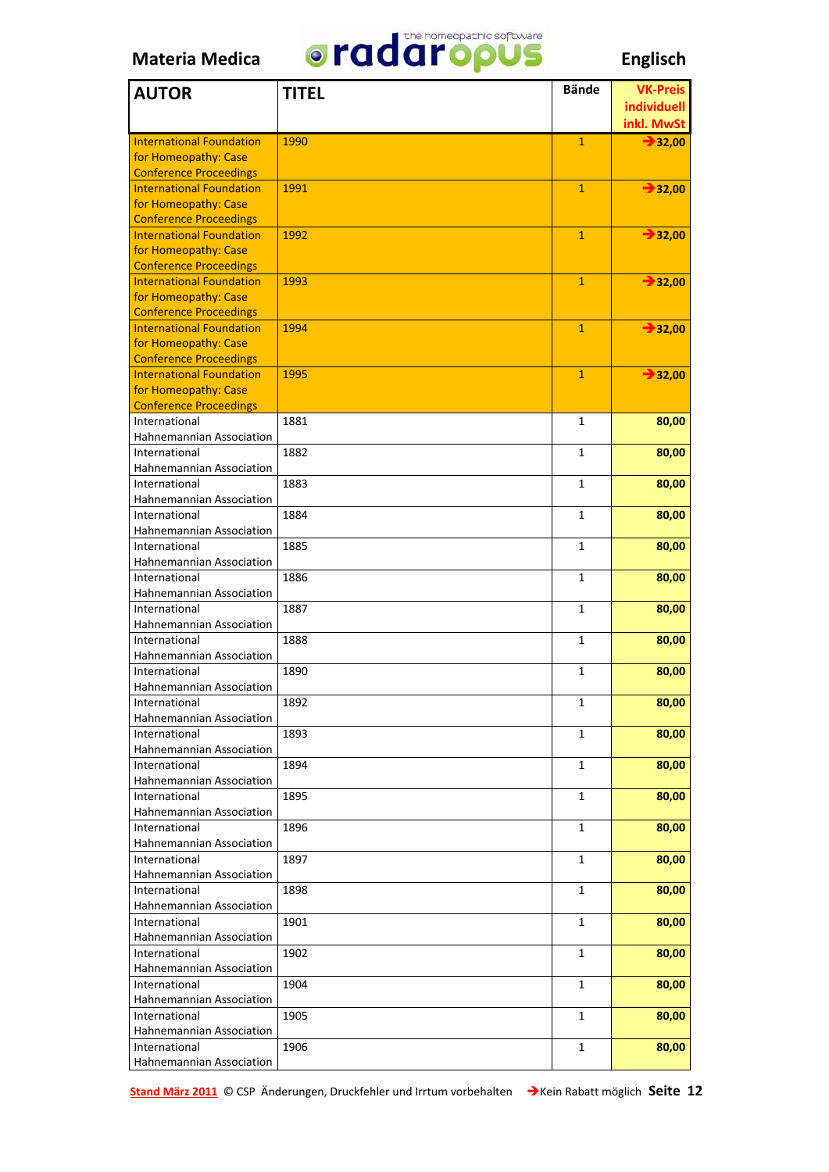

| <b>AUTOR</b>                                          | <b>TITEL</b> | <b>Bände</b> | <b>VK-Preis</b>     |
|-------------------------------------------------------|--------------|--------------|---------------------|
|                                                       |              |              | <i>individuell</i>  |
|                                                       |              |              | inkl. MwSt          |
| <b>International Foundation</b>                       | 1990         | $\mathbf{1}$ | $\rightarrow$ 32,00 |
| for Homeopathy: Case                                  |              |              |                     |
| <b>Conference Proceedings</b>                         |              |              |                     |
| <b>International Foundation</b>                       | 1991         | $\mathbf{1}$ | $\rightarrow 32,00$ |
| for Homeopathy: Case                                  |              |              |                     |
| <b>Conference Proceedings</b>                         |              |              |                     |
| <b>International Foundation</b>                       | 1992         | $\mathbf{1}$ | $\rightarrow 32,00$ |
| for Homeopathy: Case                                  |              |              |                     |
| <b>Conference Proceedings</b>                         |              |              |                     |
| <b>International Foundation</b>                       | 1993         | $\mathbf{1}$ | $\rightarrow 32,00$ |
| for Homeopathy: Case<br><b>Conference Proceedings</b> |              |              |                     |
| <b>International Foundation</b>                       | 1994         | $\mathbf{1}$ | $\rightarrow$ 32,00 |
| for Homeopathy: Case                                  |              |              |                     |
| <b>Conference Proceedings</b>                         |              |              |                     |
| <b>International Foundation</b>                       | 1995         | $\mathbf{1}$ | $\rightarrow$ 32,00 |
| for Homeopathy: Case                                  |              |              |                     |
| <b>Conference Proceedings</b>                         |              |              |                     |
| International                                         | 1881         | $\mathbf{1}$ | 80,00               |
| Hahnemannian Association                              |              |              |                     |
| International                                         | 1882         | $\mathbf{1}$ | 80,00               |
| Hahnemannian Association                              |              |              |                     |
| International                                         | 1883         | $\mathbf{1}$ | 80,00               |
| Hahnemannian Association                              |              |              |                     |
| International                                         | 1884         | 1            | 80,00               |
| Hahnemannian Association                              |              |              |                     |
| International                                         | 1885         | 1            | 80,00               |
| Hahnemannian Association                              |              |              |                     |
| International<br>Hahnemannian Association             | 1886         | 1            | 80,00               |
| International                                         | 1887         | 1            | 80,00               |
| Hahnemannian Association                              |              |              |                     |
| International                                         | 1888         | 1            | 80,00               |
| Hahnemannian Association                              |              |              |                     |
| International                                         | 1890         | 1            | 80,00               |
| Hahnemannian Association                              |              |              |                     |
| International                                         | 1892         | 1            | 80,00               |
| Hahnemannian Association                              |              |              |                     |
| International                                         | 1893         | 1            | 80,00               |
| Hahnemannian Association                              |              |              |                     |
| International                                         | 1894         | 1            | 80,00               |
| Hahnemannian Association                              |              |              |                     |
| International                                         | 1895         | 1            | 80,00               |
| Hahnemannian Association                              |              |              |                     |
| International                                         | 1896         | 1            | 80,00               |
| Hahnemannian Association                              |              |              |                     |
| International                                         | 1897         | 1            | 80,00               |
| Hahnemannian Association                              |              |              |                     |
| International<br>Hahnemannian Association             | 1898         | 1            | 80,00               |
| International                                         | 1901         | 1            | 80,00               |
| Hahnemannian Association                              |              |              |                     |
| International                                         | 1902         | 1            | 80,00               |
| Hahnemannian Association                              |              |              |                     |
| International                                         | 1904         | 1            | 80,00               |
| Hahnemannian Association                              |              |              |                     |
| International                                         | 1905         | 1            | 80,00               |
| Hahnemannian Association                              |              |              |                     |
| International                                         | 1906         | 1            | 80,00               |
| Hahnemannian Association                              |              |              |                     |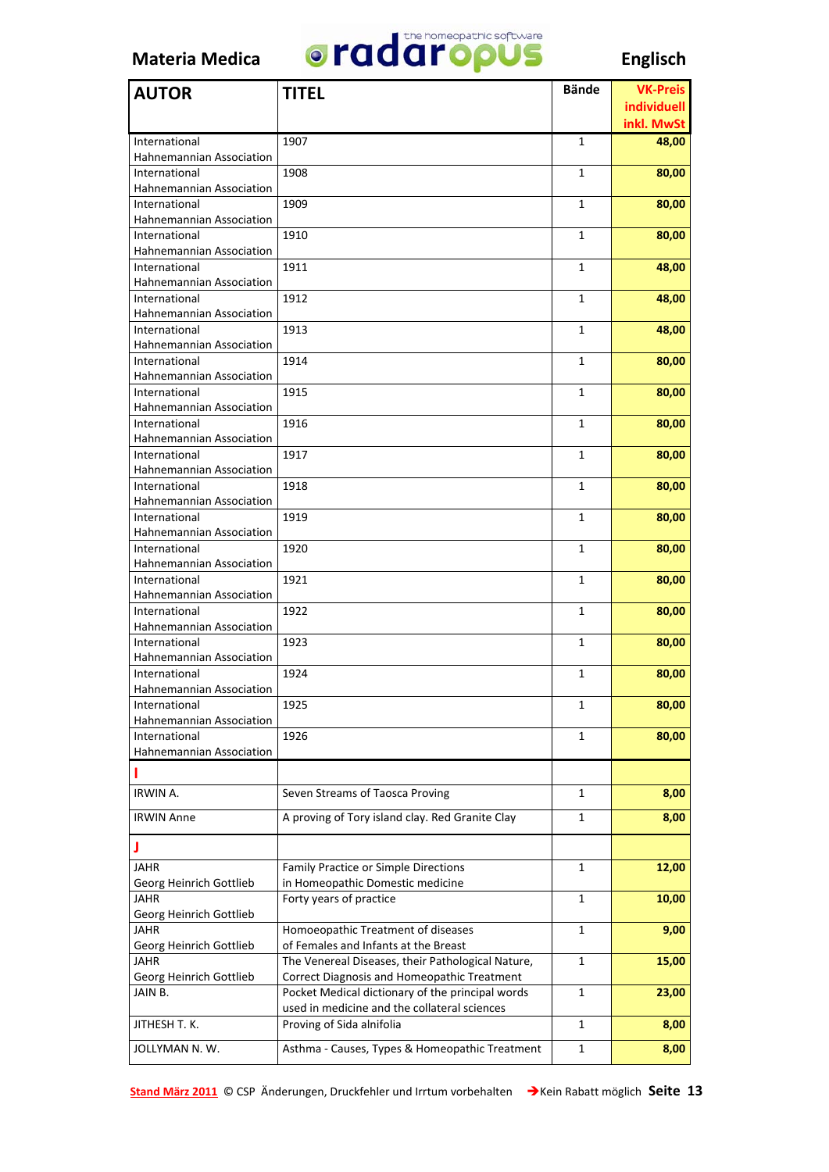

| <b>AUTOR</b>                              | <b>TITEL</b>                                      | <b>Bände</b> | <b>VK-Preis</b> |
|-------------------------------------------|---------------------------------------------------|--------------|-----------------|
|                                           |                                                   |              | individuell     |
|                                           |                                                   |              | inkl. MwSt      |
| International                             | 1907                                              | 1            | 48,00           |
| Hahnemannian Association                  |                                                   |              |                 |
| International                             | 1908                                              | 1            | 80,00           |
| Hahnemannian Association                  |                                                   |              |                 |
| International                             | 1909                                              | 1            | 80,00           |
| Hahnemannian Association                  |                                                   |              |                 |
| International                             | 1910                                              | 1            | 80,00           |
| Hahnemannian Association                  |                                                   |              |                 |
| International                             | 1911                                              | 1            | 48,00           |
| Hahnemannian Association                  |                                                   |              |                 |
| International                             | 1912                                              | 1            | 48,00           |
| Hahnemannian Association                  |                                                   |              |                 |
| International                             | 1913                                              | 1            | 48,00           |
| Hahnemannian Association                  |                                                   |              |                 |
| International                             | 1914                                              | 1            | 80,00           |
| Hahnemannian Association                  |                                                   |              |                 |
| International                             | 1915                                              | 1            | 80,00           |
| Hahnemannian Association                  |                                                   |              |                 |
| International                             | 1916                                              | 1            | 80,00           |
| Hahnemannian Association                  |                                                   |              |                 |
| International                             | 1917                                              | 1            | 80,00           |
| Hahnemannian Association                  |                                                   |              |                 |
| International                             | 1918                                              | 1            | 80,00           |
| Hahnemannian Association                  |                                                   |              |                 |
| International<br>Hahnemannian Association | 1919                                              | 1            | 80,00           |
| International                             | 1920                                              | 1            |                 |
| Hahnemannian Association                  |                                                   |              | 80,00           |
| International                             | 1921                                              | 1            | 80,00           |
| Hahnemannian Association                  |                                                   |              |                 |
| International                             | 1922                                              | 1            | 80,00           |
| Hahnemannian Association                  |                                                   |              |                 |
| International                             | 1923                                              | 1            | 80,00           |
| Hahnemannian Association                  |                                                   |              |                 |
| International                             | 1924                                              | 1            | 80,00           |
| <b>Hahnemannian Association</b>           |                                                   |              |                 |
| International                             | 1925                                              | 1            | 80,00           |
| Hahnemannian Association                  |                                                   |              |                 |
| International                             | 1926                                              | 1            | 80,00           |
| Hahnemannian Association                  |                                                   |              |                 |
| п                                         |                                                   |              |                 |
|                                           |                                                   |              |                 |
| IRWIN A.                                  | Seven Streams of Taosca Proving                   | 1            | 8,00            |
| <b>IRWIN Anne</b>                         | A proving of Tory island clay. Red Granite Clay   | 1            | 8,00            |
| J                                         |                                                   |              |                 |
| JAHR                                      | Family Practice or Simple Directions              | 1            | 12,00           |
| Georg Heinrich Gottlieb                   | in Homeopathic Domestic medicine                  |              |                 |
| <b>JAHR</b>                               | Forty years of practice                           | 1            | 10,00           |
| Georg Heinrich Gottlieb                   |                                                   |              |                 |
| <b>JAHR</b>                               | Homoeopathic Treatment of diseases                | $\mathbf{1}$ | 9,00            |
| Georg Heinrich Gottlieb                   | of Females and Infants at the Breast              |              |                 |
| <b>JAHR</b>                               | The Venereal Diseases, their Pathological Nature, | 1            | 15,00           |
| Georg Heinrich Gottlieb                   | Correct Diagnosis and Homeopathic Treatment       |              |                 |
| JAIN B.                                   | Pocket Medical dictionary of the principal words  | 1            | 23,00           |
|                                           | used in medicine and the collateral sciences      |              |                 |
| JITHESH T. K.                             | Proving of Sida alnifolia                         | 1            | 8,00            |
| JOLLYMAN N.W.                             | Asthma - Causes, Types & Homeopathic Treatment    | 1            | 8,00            |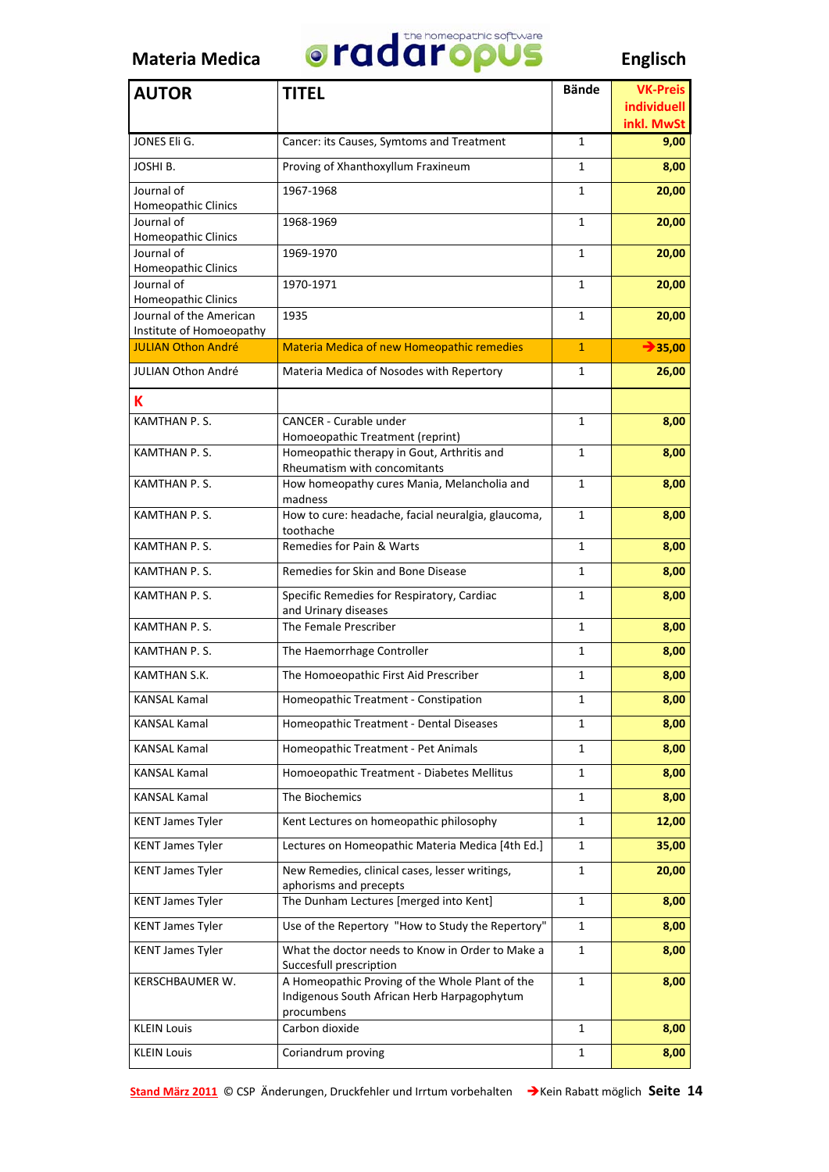

| <b>AUTOR</b>                             | <b>TITEL</b>                                                                | <b>Bände</b> | <b>VK-Preis</b>     |
|------------------------------------------|-----------------------------------------------------------------------------|--------------|---------------------|
|                                          |                                                                             |              | individuell         |
|                                          |                                                                             |              | inkl. MwSt          |
| JONES Eli G.                             | Cancer: its Causes, Symtoms and Treatment                                   | 1            | 9,00                |
| JOSHI B.                                 | Proving of Xhanthoxyllum Fraxineum                                          | 1            | 8,00                |
| Journal of                               | 1967-1968                                                                   | 1            | 20,00               |
| <b>Homeopathic Clinics</b>               |                                                                             |              |                     |
| Journal of<br><b>Homeopathic Clinics</b> | 1968-1969                                                                   | $\mathbf{1}$ | 20,00               |
| Journal of                               | 1969-1970                                                                   | $\mathbf{1}$ | 20,00               |
| <b>Homeopathic Clinics</b>               |                                                                             |              |                     |
| Journal of<br><b>Homeopathic Clinics</b> | 1970-1971                                                                   | 1            | 20,00               |
| Journal of the American                  | 1935                                                                        | 1            | 20,00               |
| Institute of Homoeopathy                 |                                                                             |              |                     |
| <b>JULIAN Othon André</b>                | <b>Materia Medica of new Homeopathic remedies</b>                           | $\mathbf{1}$ | $\rightarrow$ 35,00 |
| JULIAN Othon André                       | Materia Medica of Nosodes with Repertory                                    | $\mathbf{1}$ | 26,00               |
| К                                        |                                                                             |              |                     |
| <b>KAMTHAN P.S.</b>                      | <b>CANCER - Curable under</b>                                               | $\mathbf{1}$ | 8,00                |
|                                          | Homoeopathic Treatment (reprint)                                            |              |                     |
| KAMTHAN P.S.                             | Homeopathic therapy in Gout, Arthritis and<br>Rheumatism with concomitants  | 1            | 8,00                |
| KAMTHAN P.S.                             | How homeopathy cures Mania, Melancholia and                                 | $\mathbf{1}$ | 8,00                |
| KAMTHAN P.S.                             | madness<br>How to cure: headache, facial neuralgia, glaucoma,               | $\mathbf{1}$ | 8,00                |
|                                          | toothache                                                                   |              |                     |
| KAMTHAN P.S.                             | Remedies for Pain & Warts                                                   | $\mathbf{1}$ | 8,00                |
| KAMTHAN P.S.                             | Remedies for Skin and Bone Disease                                          | 1            | 8,00                |
| KAMTHAN P.S.                             | Specific Remedies for Respiratory, Cardiac                                  | 1            | 8,00                |
| <b>KAMTHAN P.S.</b>                      | and Urinary diseases<br>The Female Prescriber                               | 1            | 8,00                |
| <b>KAMTHAN P.S.</b>                      | The Haemorrhage Controller                                                  | 1            | 8,00                |
| KAMTHAN S.K.                             | The Homoeopathic First Aid Prescriber                                       | 1            | 8,00                |
| KANSAL Kamal                             | Homeopathic Treatment - Constipation                                        | 1            | 8,00                |
| KANSAL Kamal                             | Homeopathic Treatment - Dental Diseases                                     | 1            | 8,00                |
| <b>KANSAL Kamal</b>                      | Homeopathic Treatment - Pet Animals                                         | 1            | 8,00                |
| <b>KANSAL Kamal</b>                      | Homoeopathic Treatment - Diabetes Mellitus                                  | 1            | 8,00                |
| <b>KANSAL Kamal</b>                      | The Biochemics                                                              | 1            | 8,00                |
| <b>KENT James Tyler</b>                  | Kent Lectures on homeopathic philosophy                                     | 1            | 12,00               |
| <b>KENT James Tyler</b>                  | Lectures on Homeopathic Materia Medica [4th Ed.]                            | 1            | 35,00               |
| <b>KENT James Tyler</b>                  | New Remedies, clinical cases, lesser writings,                              | $\mathbf{1}$ | 20,00               |
|                                          | aphorisms and precepts                                                      |              |                     |
| <b>KENT James Tyler</b>                  | The Dunham Lectures [merged into Kent]                                      | 1            | 8,00                |
| <b>KENT James Tyler</b>                  | Use of the Repertory "How to Study the Repertory"                           | 1            | 8,00                |
| <b>KENT James Tyler</b>                  | What the doctor needs to Know in Order to Make a<br>Succesfull prescription | 1            | 8,00                |
| KERSCHBAUMER W.                          | A Homeopathic Proving of the Whole Plant of the                             | 1            | 8,00                |
|                                          | Indigenous South African Herb Harpagophytum<br>procumbens                   |              |                     |
| <b>KLEIN Louis</b>                       | Carbon dioxide                                                              | 1            | 8,00                |
| <b>KLEIN Louis</b>                       | Coriandrum proving                                                          | 1            | 8,00                |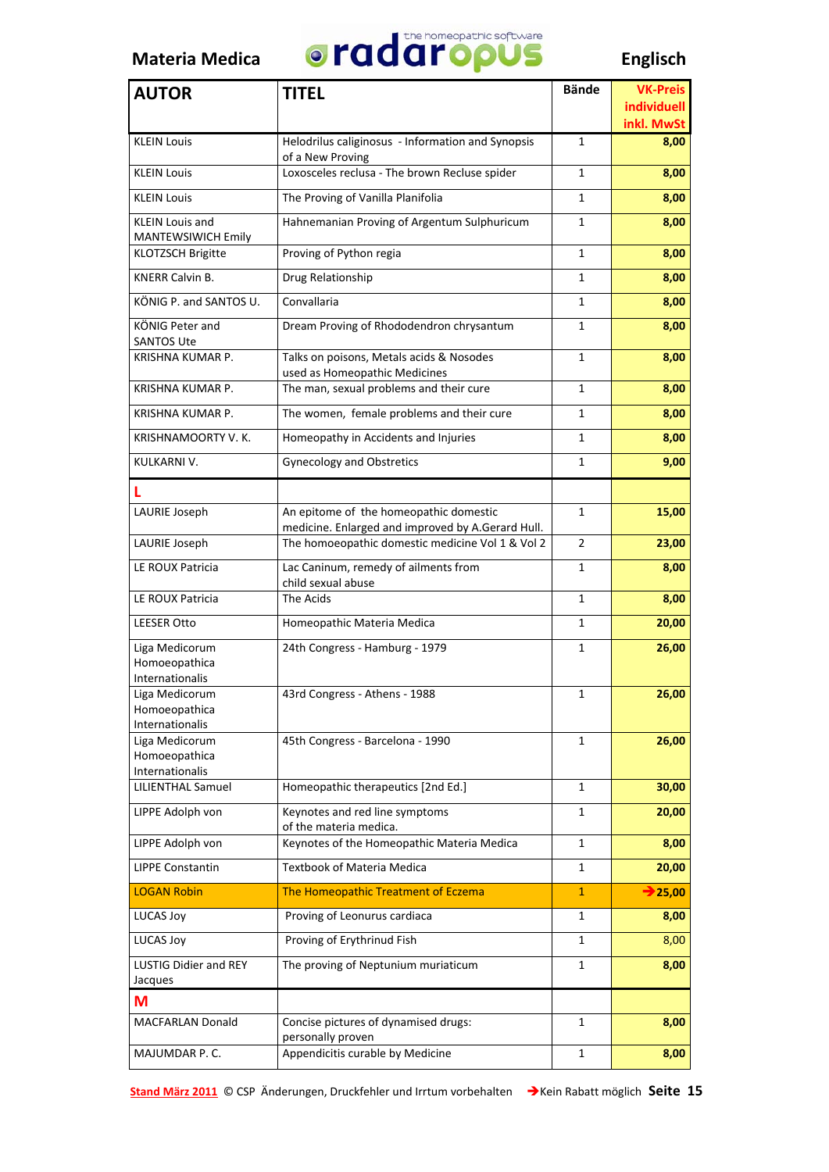

| <b>AUTOR</b>                                       | <b>TITEL</b>                                                                                | <b>Bände</b>   | <b>VK-Preis</b>           |
|----------------------------------------------------|---------------------------------------------------------------------------------------------|----------------|---------------------------|
|                                                    |                                                                                             |                | individuell<br>inkl. MwSt |
| <b>KLEIN Louis</b>                                 | Helodrilus caliginosus - Information and Synopsis<br>of a New Proving                       | 1              | 8,00                      |
| <b>KLEIN Louis</b>                                 | Loxosceles reclusa - The brown Recluse spider                                               | 1              | 8,00                      |
| <b>KLEIN Louis</b>                                 | The Proving of Vanilla Planifolia                                                           | 1              | 8,00                      |
| <b>KLEIN Louis and</b><br>MANTEWSIWICH Emily       | Hahnemanian Proving of Argentum Sulphuricum                                                 | 1              | 8,00                      |
| <b>KLOTZSCH Brigitte</b>                           | Proving of Python regia                                                                     | 1              | 8,00                      |
| <b>KNERR Calvin B.</b>                             | Drug Relationship                                                                           | $\mathbf{1}$   | 8,00                      |
| KÖNIG P. and SANTOS U.                             | Convallaria                                                                                 | 1              | 8,00                      |
| KÖNIG Peter and<br><b>SANTOS Ute</b>               | Dream Proving of Rhododendron chrysantum                                                    | 1              | 8,00                      |
| KRISHNA KUMAR P.                                   | Talks on poisons, Metals acids & Nosodes<br>used as Homeopathic Medicines                   | 1              | 8,00                      |
| KRISHNA KUMAR P.                                   | The man, sexual problems and their cure                                                     | 1              | 8,00                      |
| KRISHNA KUMAR P.                                   | The women, female problems and their cure                                                   | 1              | 8,00                      |
| KRISHNAMOORTY V. K.                                | Homeopathy in Accidents and Injuries                                                        | 1              | 8,00                      |
| KULKARNI V.                                        | <b>Gynecology and Obstretics</b>                                                            | 1              | 9,00                      |
|                                                    |                                                                                             |                |                           |
| LAURIE Joseph                                      | An epitome of the homeopathic domestic<br>medicine. Enlarged and improved by A.Gerard Hull. | 1              | 15,00                     |
| LAURIE Joseph                                      | The homoeopathic domestic medicine Vol 1 & Vol 2                                            | $\overline{2}$ | 23,00                     |
| LE ROUX Patricia                                   | Lac Caninum, remedy of ailments from<br>child sexual abuse                                  | 1              | 8,00                      |
| LE ROUX Patricia                                   | The Acids                                                                                   | 1              | 8,00                      |
| <b>LEESER Otto</b>                                 | Homeopathic Materia Medica                                                                  | 1              | 20,00                     |
| Liga Medicorum<br>Homoeopathica<br>Internationalis | 24th Congress - Hamburg - 1979                                                              | 1              | 26,00                     |
| Liga Medicorum<br>Homoeopathica<br>Internationalis | 43rd Congress - Athens - 1988                                                               | 1              | 26,00                     |
| Liga Medicorum<br>Homoeopathica<br>Internationalis | 45th Congress - Barcelona - 1990                                                            | $\mathbf{1}$   | 26,00                     |
| <b>LILIENTHAL Samuel</b>                           | Homeopathic therapeutics [2nd Ed.]                                                          | 1              | 30,00                     |
| LIPPE Adolph von                                   | Keynotes and red line symptoms<br>of the materia medica.                                    | 1              | 20,00                     |
| LIPPE Adolph von                                   | Keynotes of the Homeopathic Materia Medica                                                  | 1              | 8,00                      |
| <b>LIPPE Constantin</b>                            | Textbook of Materia Medica                                                                  | 1              | 20,00                     |
| <b>LOGAN Robin</b>                                 | The Homeopathic Treatment of Eczema                                                         | 1              | $\rightarrow$ 25,00       |
| <b>LUCAS Joy</b>                                   | Proving of Leonurus cardiaca                                                                | 1              | 8,00                      |
| <b>LUCAS Joy</b>                                   | Proving of Erythrinud Fish                                                                  | 1              | 8,00                      |
| LUSTIG Didier and REY<br>Jacques                   | The proving of Neptunium muriaticum                                                         | 1              | 8,00                      |
| M                                                  |                                                                                             |                |                           |
| <b>MACFARLAN Donald</b>                            | Concise pictures of dynamised drugs:<br>personally proven                                   | $\mathbf{1}$   | 8,00                      |
| MAJUMDAR P.C.                                      | Appendicitis curable by Medicine                                                            | 1              | 8,00                      |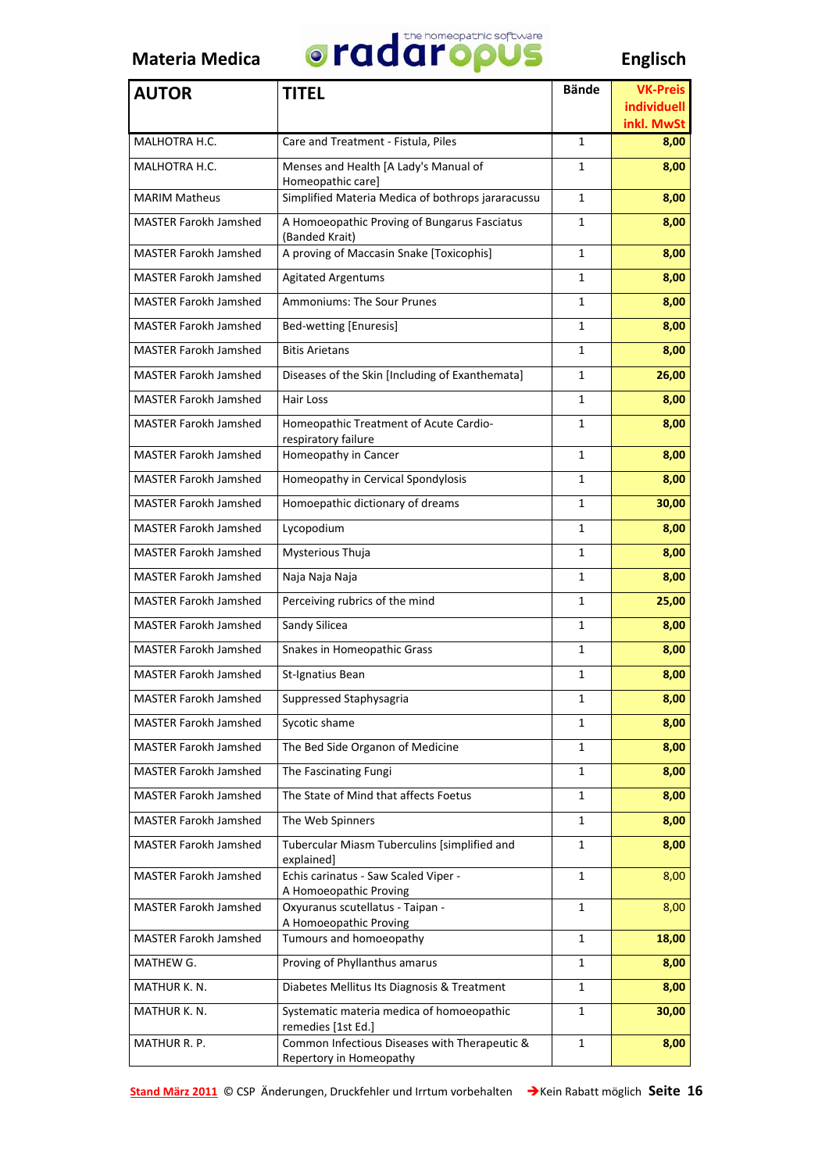

| <b>AUTOR</b>                 | <b>TITEL</b>                                                             | <b>Bände</b> | <b>VK-Preis</b>                  |
|------------------------------|--------------------------------------------------------------------------|--------------|----------------------------------|
|                              |                                                                          |              | <b>individuell</b><br>inkl. MwSt |
| MALHOTRA H.C.                | Care and Treatment - Fistula, Piles                                      | 1            | 8,00                             |
| MALHOTRA H.C.                | Menses and Health [A Lady's Manual of<br>Homeopathic care]               | 1            | 8,00                             |
| <b>MARIM Matheus</b>         | Simplified Materia Medica of bothrops jararacussu                        | 1            | 8,00                             |
| <b>MASTER Farokh Jamshed</b> | A Homoeopathic Proving of Bungarus Fasciatus<br>(Banded Krait)           | 1            | 8,00                             |
| <b>MASTER Farokh Jamshed</b> | A proving of Maccasin Snake [Toxicophis]                                 | 1            | 8,00                             |
| <b>MASTER Farokh Jamshed</b> | <b>Agitated Argentums</b>                                                | 1            | 8,00                             |
| <b>MASTER Farokh Jamshed</b> | <b>Ammoniums: The Sour Prunes</b>                                        | 1            | 8,00                             |
| <b>MASTER Farokh Jamshed</b> | Bed-wetting [Enuresis]                                                   | 1            | 8,00                             |
| <b>MASTER Farokh Jamshed</b> | <b>Bitis Arietans</b>                                                    | 1            | 8,00                             |
| <b>MASTER Farokh Jamshed</b> | Diseases of the Skin [Including of Exanthemata]                          | 1            | 26,00                            |
| <b>MASTER Farokh Jamshed</b> | Hair Loss                                                                | 1            | 8,00                             |
| <b>MASTER Farokh Jamshed</b> | Homeopathic Treatment of Acute Cardio-<br>respiratory failure            | 1            | 8,00                             |
| <b>MASTER Farokh Jamshed</b> | Homeopathy in Cancer                                                     | 1            | 8,00                             |
| <b>MASTER Farokh Jamshed</b> | Homeopathy in Cervical Spondylosis                                       | 1            | 8,00                             |
| <b>MASTER Farokh Jamshed</b> | Homoepathic dictionary of dreams                                         | 1            | 30,00                            |
| <b>MASTER Farokh Jamshed</b> | Lycopodium                                                               | 1            | 8,00                             |
| <b>MASTER Farokh Jamshed</b> | Mysterious Thuja                                                         | 1            | 8,00                             |
| <b>MASTER Farokh Jamshed</b> | Naja Naja Naja                                                           | 1            | 8,00                             |
| <b>MASTER Farokh Jamshed</b> | Perceiving rubrics of the mind                                           | 1            | 25,00                            |
| <b>MASTER Farokh Jamshed</b> | Sandy Silicea                                                            | $\mathbf{1}$ | 8,00                             |
| <b>MASTER Farokh Jamshed</b> | Snakes in Homeopathic Grass                                              | 1            | 8,00                             |
| <b>MASTER Farokh Jamshed</b> | St-Ignatius Bean                                                         | 1            | 8,00                             |
| <b>MASTER Farokh Jamshed</b> | Suppressed Staphysagria                                                  | 1            | 8,00                             |
| <b>MASTER Farokh Jamshed</b> | Sycotic shame                                                            | 1            | 8,00                             |
| <b>MASTER Farokh Jamshed</b> | The Bed Side Organon of Medicine                                         | 1            | 8,00                             |
| <b>MASTER Farokh Jamshed</b> | The Fascinating Fungi                                                    | 1            | 8,00                             |
| <b>MASTER Farokh Jamshed</b> | The State of Mind that affects Foetus                                    | 1            | 8,00                             |
| <b>MASTER Farokh Jamshed</b> | The Web Spinners                                                         | 1            | 8,00                             |
| <b>MASTER Farokh Jamshed</b> | Tubercular Miasm Tuberculins [simplified and<br>explained]               | 1            | 8,00                             |
| <b>MASTER Farokh Jamshed</b> | Echis carinatus - Saw Scaled Viper -<br>A Homoeopathic Proving           | $\mathbf{1}$ | 8,00                             |
| <b>MASTER Farokh Jamshed</b> | Oxyuranus scutellatus - Taipan -<br>A Homoeopathic Proving               | 1            | 8,00                             |
| <b>MASTER Farokh Jamshed</b> | Tumours and homoeopathy                                                  | $\mathbf 1$  | 18,00                            |
| MATHEW G.                    | Proving of Phyllanthus amarus                                            | 1            | 8,00                             |
| MATHUR K. N.                 | Diabetes Mellitus Its Diagnosis & Treatment                              | 1            | 8,00                             |
| MATHUR K. N.                 | Systematic materia medica of homoeopathic<br>remedies [1st Ed.]          | 1            | 30,00                            |
| MATHUR R. P.                 | Common Infectious Diseases with Therapeutic &<br>Repertory in Homeopathy | $\mathbf{1}$ | 8,00                             |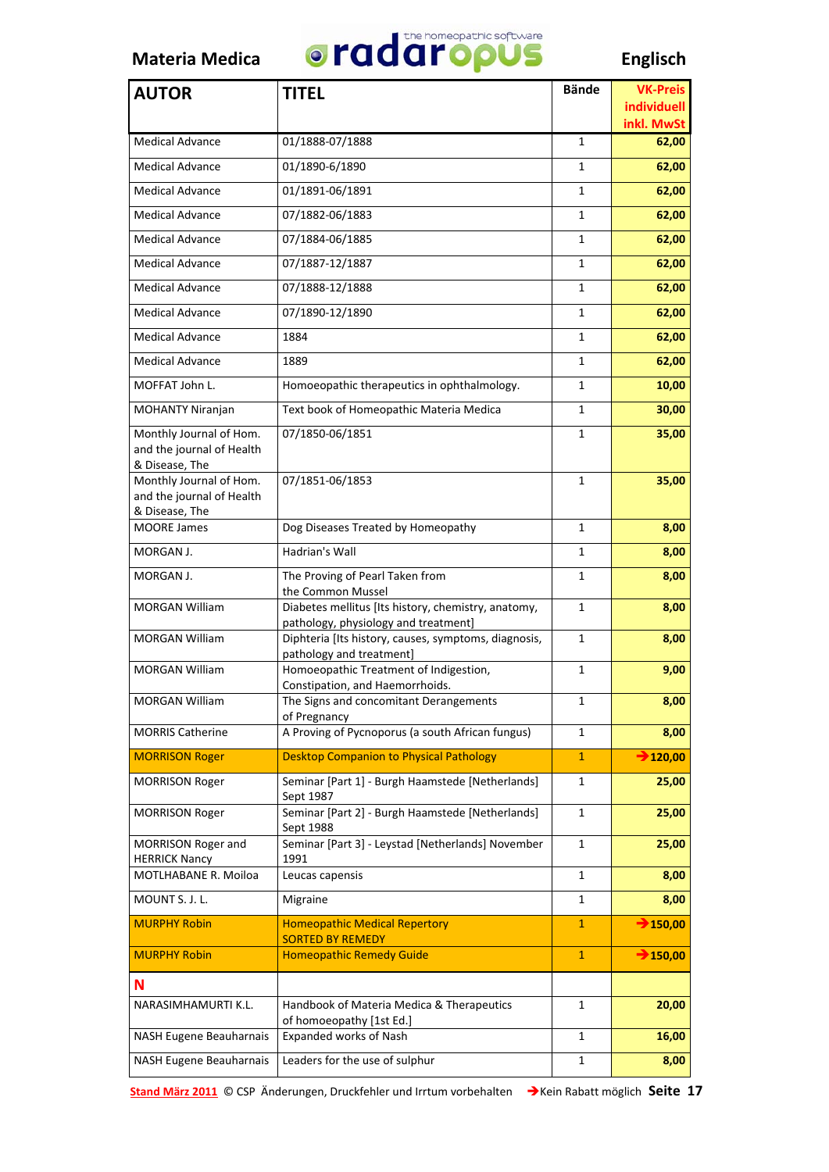

| <b>AUTOR</b>                                                           | <b>TITEL</b>                                                                                | <b>Bände</b> | <b>VK-Preis</b>           |
|------------------------------------------------------------------------|---------------------------------------------------------------------------------------------|--------------|---------------------------|
|                                                                        |                                                                                             |              | individuell<br>inkl. MwSt |
| <b>Medical Advance</b>                                                 | 01/1888-07/1888                                                                             | 1            | 62,00                     |
| <b>Medical Advance</b>                                                 | 01/1890-6/1890                                                                              | 1            | 62,00                     |
| <b>Medical Advance</b>                                                 | 01/1891-06/1891                                                                             | 1            | 62,00                     |
| <b>Medical Advance</b>                                                 | 07/1882-06/1883                                                                             | 1            | 62,00                     |
| <b>Medical Advance</b>                                                 | 07/1884-06/1885                                                                             | 1            | 62,00                     |
| <b>Medical Advance</b>                                                 | 07/1887-12/1887                                                                             | 1            | 62,00                     |
| <b>Medical Advance</b>                                                 | 07/1888-12/1888                                                                             | 1            | 62,00                     |
| <b>Medical Advance</b>                                                 | 07/1890-12/1890                                                                             | 1            | 62,00                     |
| <b>Medical Advance</b>                                                 | 1884                                                                                        | 1            | 62,00                     |
| <b>Medical Advance</b>                                                 | 1889                                                                                        | 1            | 62,00                     |
| MOFFAT John L.                                                         | Homoeopathic therapeutics in ophthalmology.                                                 | 1            | 10,00                     |
| MOHANTY Niranjan                                                       | Text book of Homeopathic Materia Medica                                                     | 1            | 30,00                     |
| Monthly Journal of Hom.<br>and the journal of Health<br>& Disease, The | 07/1850-06/1851                                                                             | 1            | 35,00                     |
| Monthly Journal of Hom.<br>and the journal of Health<br>& Disease, The | 07/1851-06/1853                                                                             | 1            | 35,00                     |
| <b>MOORE James</b>                                                     | Dog Diseases Treated by Homeopathy                                                          | 1            | 8,00                      |
| MORGAN J.                                                              | Hadrian's Wall                                                                              | 1            | 8,00                      |
| MORGAN J.                                                              | The Proving of Pearl Taken from<br>the Common Mussel                                        | 1            | 8,00                      |
| <b>MORGAN William</b>                                                  | Diabetes mellitus [Its history, chemistry, anatomy,<br>pathology, physiology and treatment] | 1            | 8,00                      |
| <b>MORGAN William</b>                                                  | Diphteria [Its history, causes, symptoms, diagnosis,<br>pathology and treatment]            | 1            | 8,00                      |
| <b>MORGAN William</b>                                                  | Homoeopathic Treatment of Indigestion,<br>Constipation, and Haemorrhoids.                   | 1            | 9,00                      |
| MORGAN William                                                         | The Signs and concomitant Derangements<br>of Pregnancy                                      | $\mathbf 1$  | 8,00                      |
| <b>MORRIS Catherine</b>                                                | A Proving of Pycnoporus (a south African fungus)                                            | 1            | 8,00                      |
| <b>MORRISON Roger</b>                                                  | <b>Desktop Companion to Physical Pathology</b>                                              | $\mathbf{1}$ | $\rightarrow$ 120,00      |
| <b>MORRISON Roger</b>                                                  | Seminar [Part 1] - Burgh Haamstede [Netherlands]<br>Sept 1987                               | 1            | 25,00                     |
| <b>MORRISON Roger</b>                                                  | Seminar [Part 2] - Burgh Haamstede [Netherlands]<br>Sept 1988                               | 1            | 25,00                     |
| MORRISON Roger and<br><b>HERRICK Nancy</b>                             | Seminar [Part 3] - Leystad [Netherlands] November<br>1991                                   | 1            | 25,00                     |
| MOTLHABANE R. Moiloa                                                   | Leucas capensis                                                                             | 1            | 8,00                      |
| MOUNT S. J. L.                                                         | Migraine                                                                                    | 1            | 8,00                      |
| <b>MURPHY Robin</b>                                                    | <b>Homeopathic Medical Repertory</b><br><b>SORTED BY REMEDY</b>                             | $\mathbf{1}$ | $\rightarrow$ 150,00      |
| <b>MURPHY Robin</b>                                                    | <b>Homeopathic Remedy Guide</b>                                                             | $\mathbf{1}$ | $\rightarrow$ 150,00      |
| N                                                                      |                                                                                             |              |                           |
| NARASIMHAMURTI K.L.                                                    | Handbook of Materia Medica & Therapeutics<br>of homoeopathy [1st Ed.]                       | 1            | 20,00                     |
| NASH Eugene Beauharnais                                                | Expanded works of Nash                                                                      | 1            | 16,00                     |
| <b>NASH Eugene Beauharnais</b>                                         | Leaders for the use of sulphur                                                              | 1            | 8,00                      |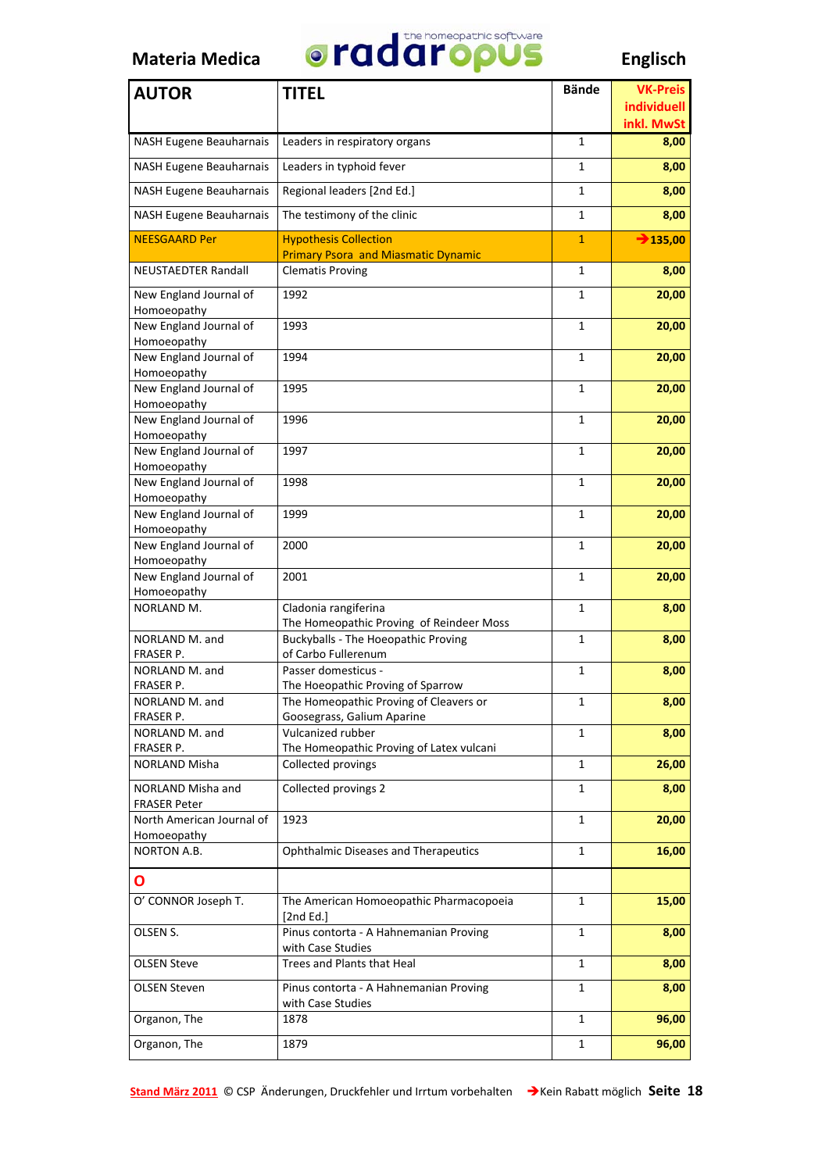

| <b>AUTOR</b>                             | <b>TITEL</b>                                                          | <b>Bände</b> | <b>VK-Preis</b>           |
|------------------------------------------|-----------------------------------------------------------------------|--------------|---------------------------|
|                                          |                                                                       |              | individuell<br>inkl. MwSt |
| <b>NASH Eugene Beauharnais</b>           | Leaders in respiratory organs                                         | 1            | 8,00                      |
| NASH Eugene Beauharnais                  | Leaders in typhoid fever                                              | 1            | 8,00                      |
| <b>NASH Eugene Beauharnais</b>           | Regional leaders [2nd Ed.]                                            | 1            | 8,00                      |
| <b>NASH Eugene Beauharnais</b>           | The testimony of the clinic                                           | 1            | 8,00                      |
| <b>NEESGAARD Per</b>                     | <b>Hypothesis Collection</b>                                          | $\mathbf{1}$ | $\rightarrow$ 135,00      |
| <b>NEUSTAEDTER Randall</b>               | <b>Primary Psora and Miasmatic Dynamic</b><br><b>Clematis Proving</b> | $\mathbf{1}$ | 8,00                      |
| New England Journal of                   | 1992                                                                  | 1            | 20,00                     |
| Homoeopathy<br>New England Journal of    | 1993                                                                  | 1            | 20,00                     |
| Homoeopathy                              |                                                                       |              |                           |
| New England Journal of<br>Homoeopathy    | 1994                                                                  | 1            | 20,00                     |
| New England Journal of                   | 1995                                                                  | 1            | 20,00                     |
| Homoeopathy<br>New England Journal of    | 1996                                                                  | 1            | 20,00                     |
| Homoeopathy                              |                                                                       |              |                           |
| New England Journal of<br>Homoeopathy    | 1997                                                                  | 1            | 20,00                     |
| New England Journal of                   | 1998                                                                  | 1            | 20,00                     |
| Homoeopathy<br>New England Journal of    | 1999                                                                  | 1            | 20,00                     |
| Homoeopathy                              |                                                                       |              |                           |
| New England Journal of                   | 2000                                                                  | 1            | 20,00                     |
| Homoeopathy<br>New England Journal of    | 2001                                                                  | 1            | 20,00                     |
| Homoeopathy                              |                                                                       |              |                           |
| NORLAND M.                               | Cladonia rangiferina                                                  | 1            | 8,00                      |
|                                          | The Homeopathic Proving of Reindeer Moss                              |              |                           |
| NORLAND M. and<br>FRASER P.              | <b>Buckyballs - The Hoeopathic Proving</b><br>of Carbo Fullerenum     | 1            | 8,00                      |
| NORLAND M. and                           | Passer domesticus -                                                   | 1            | 8,00                      |
| FRASER P.                                | The Hoeopathic Proving of Sparrow                                     |              |                           |
| NORLAND M. and                           | The Homeopathic Proving of Cleavers or                                | $\mathbf 1$  | 8,00                      |
| FRASER P.                                | Goosegrass, Galium Aparine                                            |              |                           |
| NORLAND M. and                           | Vulcanized rubber                                                     | 1            | 8,00                      |
| FRASER P.                                | The Homeopathic Proving of Latex vulcani                              |              |                           |
| NORLAND Misha                            | Collected provings                                                    | $\mathbf{1}$ | 26,00                     |
| NORLAND Misha and<br><b>FRASER Peter</b> | Collected provings 2                                                  | 1            | 8,00                      |
| North American Journal of<br>Homoeopathy | 1923                                                                  | 1            | 20,00                     |
| NORTON A.B.                              | <b>Ophthalmic Diseases and Therapeutics</b>                           | 1            | 16,00                     |
| O                                        |                                                                       |              |                           |
| O' CONNOR Joseph T.                      | The American Homoeopathic Pharmacopoeia<br>[2nd Ed.]                  | 1            | 15,00                     |
| OLSEN S.                                 | Pinus contorta - A Hahnemanian Proving                                | $\mathbf{1}$ | 8,00                      |
| <b>OLSEN Steve</b>                       | with Case Studies<br>Trees and Plants that Heal                       | 1            | 8,00                      |
| <b>OLSEN Steven</b>                      | Pinus contorta - A Hahnemanian Proving                                | 1            | 8,00                      |
|                                          | with Case Studies                                                     |              |                           |
| Organon, The                             | 1878                                                                  | 1            | 96,00                     |
| Organon, The                             | 1879                                                                  | 1            | 96,00                     |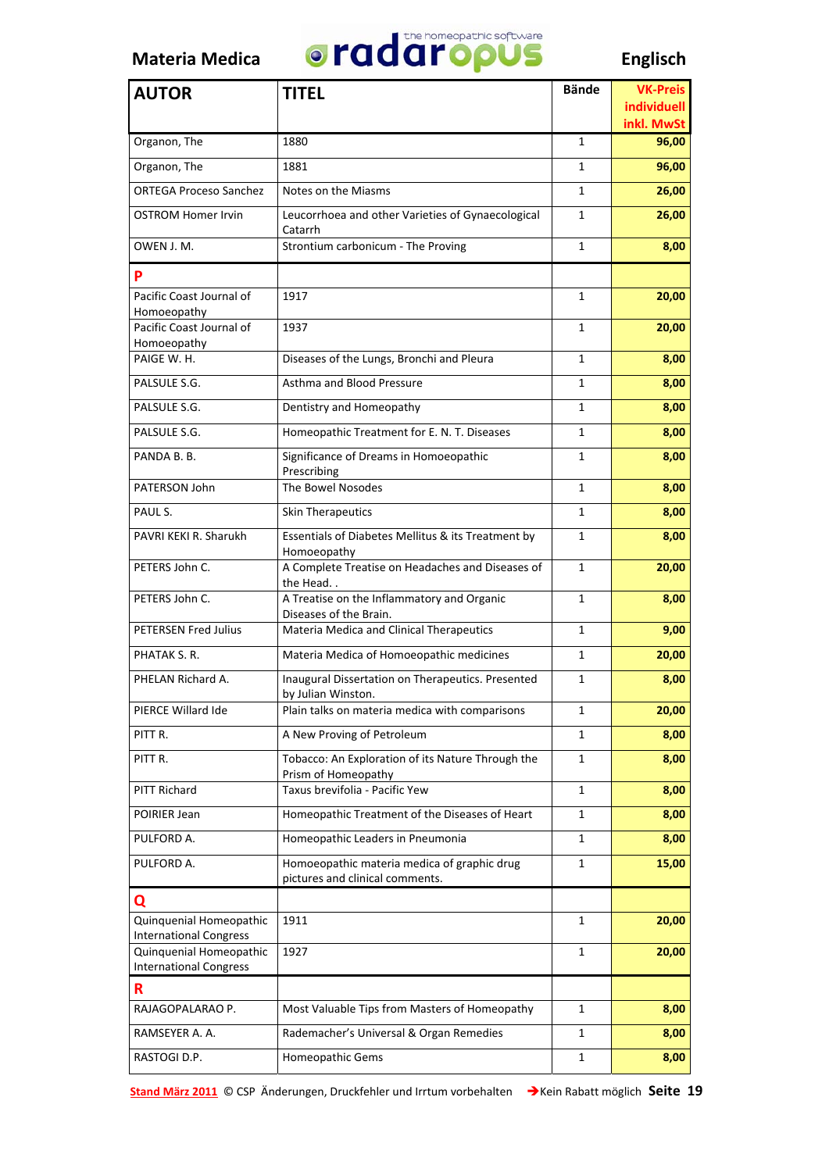

| <b>AUTOR</b>                                             | <b>TITEL</b>                                                                   | <b>Bände</b> | <b>VK-Preis</b>           |
|----------------------------------------------------------|--------------------------------------------------------------------------------|--------------|---------------------------|
|                                                          |                                                                                |              | individuell<br>inkl. MwSt |
| Organon, The                                             | 1880                                                                           | $\mathbf{1}$ | 96,00                     |
| Organon, The                                             | 1881                                                                           | $\mathbf{1}$ | 96,00                     |
| <b>ORTEGA Proceso Sanchez</b>                            | Notes on the Miasms                                                            | $\mathbf{1}$ | 26,00                     |
| <b>OSTROM Homer Irvin</b>                                | Leucorrhoea and other Varieties of Gynaecological<br>Catarrh                   | $\mathbf{1}$ | 26,00                     |
| OWEN J. M.                                               | Strontium carbonicum - The Proving                                             | $\mathbf{1}$ | 8,00                      |
| P                                                        |                                                                                |              |                           |
| Pacific Coast Journal of<br>Homoeopathy                  | 1917                                                                           | 1            | 20,00                     |
| Pacific Coast Journal of<br>Homoeopathy                  | 1937                                                                           | $\mathbf{1}$ | 20,00                     |
| PAIGE W. H.                                              | Diseases of the Lungs, Bronchi and Pleura                                      | $\mathbf{1}$ | 8,00                      |
| PALSULE S.G.                                             | Asthma and Blood Pressure                                                      | $\mathbf{1}$ | 8,00                      |
| PALSULE S.G.                                             | Dentistry and Homeopathy                                                       | $\mathbf{1}$ | 8,00                      |
| PALSULE S.G.                                             | Homeopathic Treatment for E. N. T. Diseases                                    | $\mathbf{1}$ | 8,00                      |
| PANDA B.B.                                               | Significance of Dreams in Homoeopathic<br>Prescribing                          | $\mathbf{1}$ | 8,00                      |
| PATERSON John                                            | The Bowel Nosodes                                                              | $\mathbf{1}$ | 8,00                      |
| PAUL S.                                                  | Skin Therapeutics                                                              | $\mathbf{1}$ | 8,00                      |
| PAVRI KEKI R. Sharukh                                    | Essentials of Diabetes Mellitus & its Treatment by<br>Homoeopathy              | $\mathbf{1}$ | 8,00                      |
| PETERS John C.                                           | A Complete Treatise on Headaches and Diseases of<br>the Head                   | $\mathbf{1}$ | 20,00                     |
| PETERS John C.                                           | A Treatise on the Inflammatory and Organic<br>Diseases of the Brain.           | 1            | 8,00                      |
| <b>PETERSEN Fred Julius</b>                              | Materia Medica and Clinical Therapeutics                                       | $\mathbf{1}$ | 9,00                      |
| PHATAK S. R.                                             | Materia Medica of Homoeopathic medicines                                       | $\mathbf{1}$ | 20,00                     |
| PHELAN Richard A.                                        | Inaugural Dissertation on Therapeutics. Presented<br>by Julian Winston.        | 1            | 8,00                      |
| PIERCE Willard Ide                                       | Plain talks on materia medica with comparisons                                 | 1            | 20,00                     |
| PITT R.                                                  | A New Proving of Petroleum                                                     | 1            | 8,00                      |
| PITT R.                                                  | Tobacco: An Exploration of its Nature Through the<br>Prism of Homeopathy       | $\mathbf{1}$ | 8,00                      |
| <b>PITT Richard</b>                                      | Taxus brevifolia - Pacific Yew                                                 | $\mathbf{1}$ | 8,00                      |
| POIRIER Jean                                             | Homeopathic Treatment of the Diseases of Heart                                 | 1            | 8,00                      |
| PULFORD A.                                               | Homeopathic Leaders in Pneumonia                                               | 1            | 8,00                      |
| PULFORD A.                                               | Homoeopathic materia medica of graphic drug<br>pictures and clinical comments. | 1            | 15,00                     |
| Q                                                        |                                                                                |              |                           |
| Quinquenial Homeopathic<br><b>International Congress</b> | 1911                                                                           | 1            | 20,00                     |
| Quinquenial Homeopathic<br><b>International Congress</b> | 1927                                                                           | 1            | 20,00                     |
| R                                                        |                                                                                |              |                           |
| RAJAGOPALARAO P.                                         | Most Valuable Tips from Masters of Homeopathy                                  | 1            | 8,00                      |
| RAMSEYER A. A.                                           | Rademacher's Universal & Organ Remedies                                        | 1            | 8,00                      |
| RASTOGI D.P.                                             | Homeopathic Gems                                                               | 1            | 8,00                      |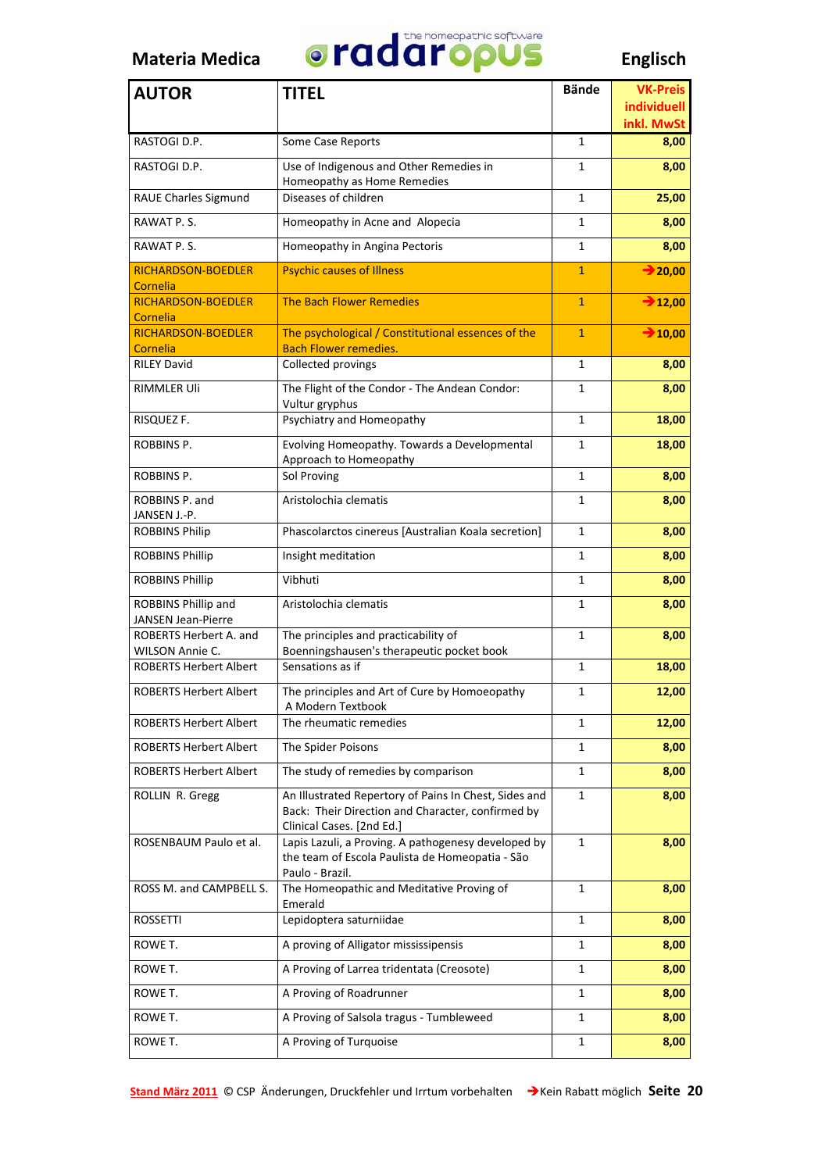

| <b>AUTOR</b>                              | <b>TITEL</b>                                                                                                                            | <b>Bände</b>   | <b>VK-Preis</b><br>individuell |
|-------------------------------------------|-----------------------------------------------------------------------------------------------------------------------------------------|----------------|--------------------------------|
|                                           |                                                                                                                                         |                | inkl. MwSt                     |
| RASTOGI D.P.                              | Some Case Reports                                                                                                                       | $\mathbf{1}$   | 8,00                           |
| RASTOGI D.P.                              | Use of Indigenous and Other Remedies in<br>Homeopathy as Home Remedies                                                                  | 1              | 8,00                           |
| <b>RAUE Charles Sigmund</b>               | Diseases of children                                                                                                                    | 1              | 25,00                          |
| RAWAT P.S.                                | Homeopathy in Acne and Alopecia                                                                                                         | $\mathbf{1}$   | 8,00                           |
| RAWAT P.S.                                | Homeopathy in Angina Pectoris                                                                                                           | $\mathbf{1}$   | 8,00                           |
| <b>RICHARDSON-BOEDLER</b><br>Cornelia     | <b>Psychic causes of Illness</b>                                                                                                        | $\mathbf{1}$   | $\rightarrow$ 20,00            |
| <b>RICHARDSON-BOEDLER</b><br>Cornelia     | The Bach Flower Remedies                                                                                                                | $\overline{1}$ | $\rightarrow$ 12,00            |
| <b>RICHARDSON-BOEDLER</b>                 | The psychological / Constitutional essences of the                                                                                      | $\overline{1}$ | $\rightarrow 10,00$            |
| Cornelia                                  | <b>Bach Flower remedies.</b>                                                                                                            |                |                                |
| <b>RILEY David</b>                        | Collected provings                                                                                                                      | 1              | 8,00                           |
| <b>RIMMLER Uli</b>                        | The Flight of the Condor - The Andean Condor:<br>Vultur gryphus                                                                         | 1              | 8,00                           |
| RISQUEZ F.                                | Psychiatry and Homeopathy                                                                                                               | 1              | 18,00                          |
| ROBBINS P.                                | Evolving Homeopathy. Towards a Developmental<br>Approach to Homeopathy                                                                  | 1              | 18,00                          |
| ROBBINS P.                                | Sol Proving                                                                                                                             | $\mathbf{1}$   | 8,00                           |
| ROBBINS P. and<br>JANSEN J.-P.            | Aristolochia clematis                                                                                                                   | 1              | 8,00                           |
| <b>ROBBINS Philip</b>                     | Phascolarctos cinereus [Australian Koala secretion]                                                                                     | 1              | 8,00                           |
| <b>ROBBINS Phillip</b>                    | Insight meditation                                                                                                                      | 1              | 8,00                           |
| <b>ROBBINS Phillip</b>                    | Vibhuti                                                                                                                                 | 1              | 8,00                           |
| ROBBINS Phillip and<br>JANSEN Jean-Pierre | Aristolochia clematis                                                                                                                   | 1              | 8,00                           |
| ROBERTS Herbert A. and                    | The principles and practicability of                                                                                                    | $\mathbf{1}$   | 8,00                           |
| <b>WILSON Annie C.</b>                    | Boenningshausen's therapeutic pocket book<br>Sensations as if                                                                           |                |                                |
| <b>ROBERTS Herbert Albert</b>             |                                                                                                                                         | 1              | 18,00                          |
| <b>ROBERTS Herbert Albert</b>             | The principles and Art of Cure by Homoeopathy<br>A Modern Textbook                                                                      | 1              | 12,00                          |
| <b>ROBERTS Herbert Albert</b>             | The rheumatic remedies                                                                                                                  | 1              | 12,00                          |
| <b>ROBERTS Herbert Albert</b>             | The Spider Poisons                                                                                                                      | 1              | 8,00                           |
| <b>ROBERTS Herbert Albert</b>             | The study of remedies by comparison                                                                                                     | 1              | 8,00                           |
| ROLLIN R. Gregg                           | An Illustrated Repertory of Pains In Chest, Sides and<br>Back: Their Direction and Character, confirmed by<br>Clinical Cases. [2nd Ed.] | 1              | 8,00                           |
| ROSENBAUM Paulo et al.                    | Lapis Lazuli, a Proving. A pathogenesy developed by<br>the team of Escola Paulista de Homeopatia - São<br>Paulo - Brazil.               | $\mathbf{1}$   | 8,00                           |
| ROSS M. and CAMPBELL S.                   | The Homeopathic and Meditative Proving of<br>Emerald                                                                                    | 1              | 8,00                           |
| <b>ROSSETTI</b>                           | Lepidoptera saturniidae                                                                                                                 | 1              | 8,00                           |
| ROWE T.                                   | A proving of Alligator mississipensis                                                                                                   | 1              | 8,00                           |
| ROWE T.                                   | A Proving of Larrea tridentata (Creosote)                                                                                               | 1              | 8,00                           |
| ROWE T.                                   | A Proving of Roadrunner                                                                                                                 | 1              | 8,00                           |
| ROWE T.                                   | A Proving of Salsola tragus - Tumbleweed                                                                                                | $\mathbf{1}$   | 8,00                           |
| ROWE T.                                   | A Proving of Turquoise                                                                                                                  | 1              | 8,00                           |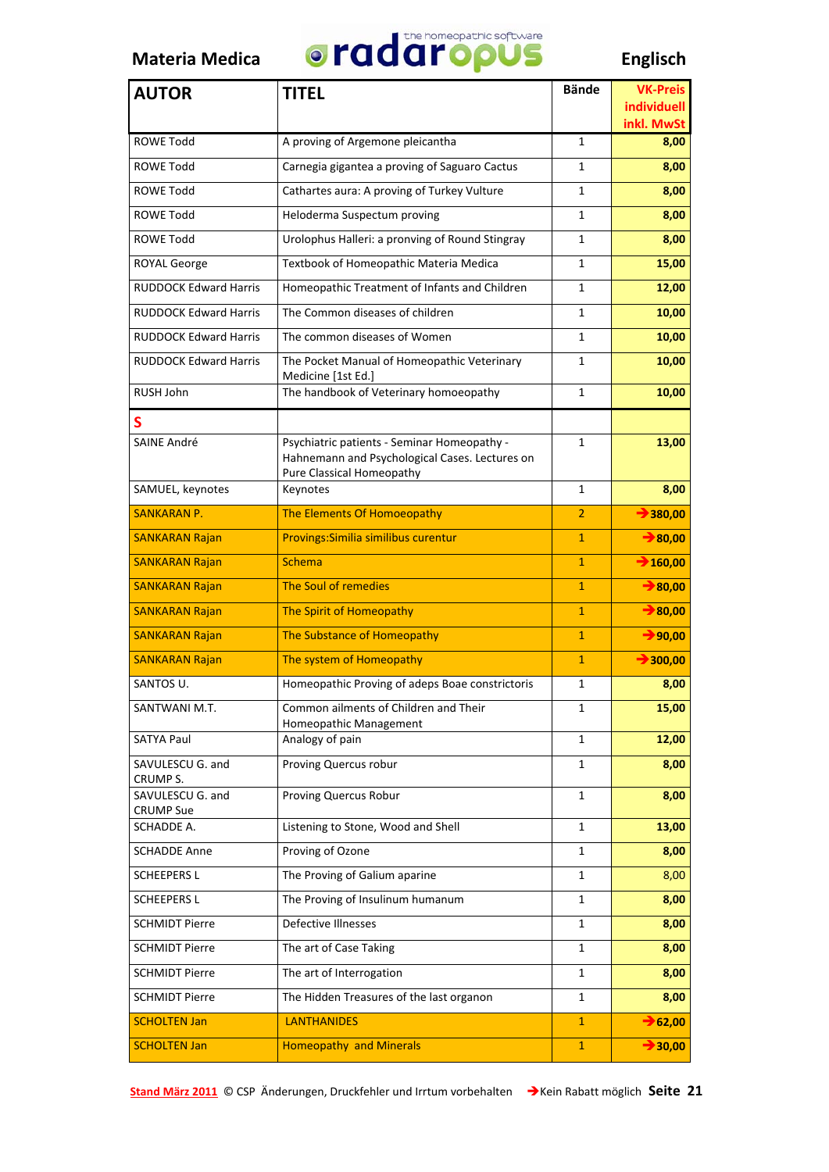

| <b>AUTOR</b>                         | <b>TITEL</b>                                                                                                               | <b>Bände</b>   | <b>VK-Preis</b>           |
|--------------------------------------|----------------------------------------------------------------------------------------------------------------------------|----------------|---------------------------|
|                                      |                                                                                                                            |                | individuell<br>inkl. MwSt |
| <b>ROWE Todd</b>                     | A proving of Argemone pleicantha                                                                                           | $\mathbf{1}$   | 8,00                      |
| <b>ROWE Todd</b>                     | Carnegia gigantea a proving of Saguaro Cactus                                                                              | $\mathbf{1}$   | 8,00                      |
| <b>ROWE Todd</b>                     | Cathartes aura: A proving of Turkey Vulture                                                                                | 1              | 8,00                      |
| <b>ROWE Todd</b>                     | Heloderma Suspectum proving                                                                                                | 1              | 8,00                      |
| <b>ROWE Todd</b>                     | Urolophus Halleri: a pronving of Round Stingray                                                                            | $\mathbf{1}$   | 8,00                      |
| <b>ROYAL George</b>                  | Textbook of Homeopathic Materia Medica                                                                                     | 1              | 15,00                     |
| <b>RUDDOCK Edward Harris</b>         | Homeopathic Treatment of Infants and Children                                                                              | 1              | 12,00                     |
| <b>RUDDOCK Edward Harris</b>         | The Common diseases of children                                                                                            | 1              | 10,00                     |
| <b>RUDDOCK Edward Harris</b>         | The common diseases of Women                                                                                               | 1              | 10,00                     |
| <b>RUDDOCK Edward Harris</b>         | The Pocket Manual of Homeopathic Veterinary<br>Medicine [1st Ed.]                                                          | 1              | 10,00                     |
| RUSH John                            | The handbook of Veterinary homoeopathy                                                                                     | 1              | 10,00                     |
| S                                    |                                                                                                                            |                |                           |
| <b>SAINE André</b>                   | Psychiatric patients - Seminar Homeopathy -<br>Hahnemann and Psychological Cases. Lectures on<br>Pure Classical Homeopathy | 1              | 13,00                     |
| SAMUEL, keynotes                     | Keynotes                                                                                                                   | 1              | 8,00                      |
| <b>SANKARAN P.</b>                   | The Elements Of Homoeopathy                                                                                                | 2              | $\rightarrow$ 380,00      |
| <b>SANKARAN Rajan</b>                | Provings: Similia similibus curentur                                                                                       | $\mathbf{1}$   | $\rightarrow$ 80,00       |
| <b>SANKARAN Rajan</b>                | <b>Schema</b>                                                                                                              | $\mathbf{1}$   | $\rightarrow$ 160,00      |
| <b>SANKARAN Rajan</b>                | The Soul of remedies                                                                                                       | $\mathbf{1}$   | $\rightarrow$ 80,00       |
| <b>SANKARAN Rajan</b>                | The Spirit of Homeopathy                                                                                                   | $\mathbf{1}$   | $\rightarrow$ 80,00       |
| <b>SANKARAN Rajan</b>                | The Substance of Homeopathy                                                                                                | $\mathbf{1}$   | $\rightarrow$ 90,00       |
| <b>SANKARAN Rajan</b>                | The system of Homeopathy                                                                                                   | $\overline{1}$ | $\rightarrow$ 300,00      |
| SANTOS U.                            | Homeopathic Proving of adeps Boae constrictoris                                                                            | $\mathbf{1}$   | 8,00                      |
| SANTWANI M.T.                        | Common ailments of Children and Their                                                                                      | 1              | 15,00                     |
| <b>SATYA Paul</b>                    | Homeopathic Management<br>Analogy of pain                                                                                  | 1              | 12,00                     |
| SAVULESCU G. and<br>CRUMP S.         | Proving Quercus robur                                                                                                      | 1              | 8,00                      |
| SAVULESCU G. and<br><b>CRUMP Sue</b> | <b>Proving Quercus Robur</b>                                                                                               | 1              | 8,00                      |
| SCHADDE A.                           | Listening to Stone, Wood and Shell                                                                                         | 1              | 13,00                     |
| <b>SCHADDE Anne</b>                  | Proving of Ozone                                                                                                           | $\mathbf{1}$   | 8,00                      |
| <b>SCHEEPERS L</b>                   | The Proving of Galium aparine                                                                                              | 1              | 8,00                      |
| <b>SCHEEPERS L</b>                   | The Proving of Insulinum humanum                                                                                           | 1              | 8,00                      |
| <b>SCHMIDT Pierre</b>                | Defective Illnesses                                                                                                        | 1              | 8,00                      |
| <b>SCHMIDT Pierre</b>                | The art of Case Taking                                                                                                     | 1              | 8,00                      |
| <b>SCHMIDT Pierre</b>                | The art of Interrogation                                                                                                   | 1              | 8,00                      |
| <b>SCHMIDT Pierre</b>                | The Hidden Treasures of the last organon                                                                                   | 1              | 8,00                      |
| <b>SCHOLTEN Jan</b>                  | <b>LANTHANIDES</b>                                                                                                         | $\mathbf{1}$   | $\rightarrow$ 62,00       |
| <b>SCHOLTEN Jan</b>                  | <b>Homeopathy and Minerals</b>                                                                                             | $\mathbf{1}$   | $\rightarrow$ 30,00       |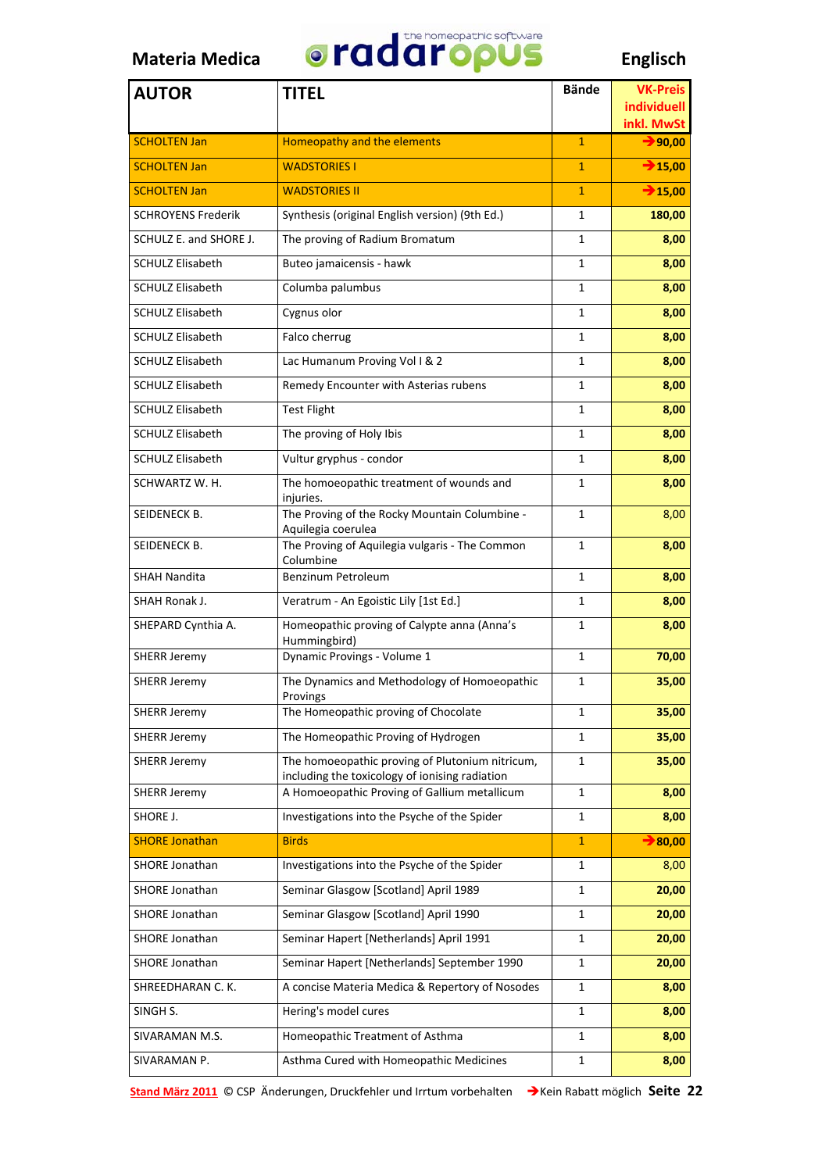

| <b>AUTOR</b>              | <b>TITEL</b>                                                                                      | <b>Bände</b> | <b>VK-Preis</b>           |
|---------------------------|---------------------------------------------------------------------------------------------------|--------------|---------------------------|
|                           |                                                                                                   |              | individuell<br>inkl. MwSt |
| <b>SCHOLTEN Jan</b>       | Homeopathy and the elements                                                                       | $\mathbf{1}$ | $\rightarrow$ 90,00       |
| <b>SCHOLTEN Jan</b>       | <b>WADSTORIES I</b>                                                                               | $\mathbf{1}$ | $\rightarrow$ 15,00       |
| <b>SCHOLTEN Jan</b>       | <b>WADSTORIES II</b>                                                                              | $\mathbf{1}$ | $\rightarrow$ 15,00       |
| <b>SCHROYENS Frederik</b> | Synthesis (original English version) (9th Ed.)                                                    | $\mathbf{1}$ | 180,00                    |
| SCHULZ E. and SHORE J.    | The proving of Radium Bromatum                                                                    | $\mathbf{1}$ | 8,00                      |
| <b>SCHULZ Elisabeth</b>   | Buteo jamaicensis - hawk                                                                          | 1            | 8,00                      |
| <b>SCHULZ Elisabeth</b>   | Columba palumbus                                                                                  | $\mathbf{1}$ | 8,00                      |
| <b>SCHULZ Elisabeth</b>   | Cygnus olor                                                                                       | $\mathbf{1}$ | 8,00                      |
| <b>SCHULZ Elisabeth</b>   | Falco cherrug                                                                                     | 1            | 8,00                      |
| <b>SCHULZ Elisabeth</b>   | Lac Humanum Proving Vol I & 2                                                                     | $\mathbf{1}$ | 8,00                      |
| <b>SCHULZ Elisabeth</b>   | Remedy Encounter with Asterias rubens                                                             | $\mathbf{1}$ | 8,00                      |
| <b>SCHULZ Elisabeth</b>   | <b>Test Flight</b>                                                                                | $\mathbf{1}$ | 8,00                      |
| <b>SCHULZ Elisabeth</b>   | The proving of Holy Ibis                                                                          | $\mathbf{1}$ | 8,00                      |
| <b>SCHULZ Elisabeth</b>   | Vultur gryphus - condor                                                                           | $\mathbf{1}$ | 8,00                      |
| SCHWARTZ W. H.            | The homoeopathic treatment of wounds and<br>injuries.                                             | 1            | 8,00                      |
| SEIDENECK B.              | The Proving of the Rocky Mountain Columbine -                                                     | 1            | 8,00                      |
| SEIDENECK B.              | Aquilegia coerulea<br>The Proving of Aquilegia vulgaris - The Common                              | 1            | 8,00                      |
| <b>SHAH Nandita</b>       | Columbine<br>Benzinum Petroleum                                                                   | $\mathbf{1}$ | 8,00                      |
| SHAH Ronak J.             | Veratrum - An Egoistic Lily [1st Ed.]                                                             | $\mathbf{1}$ | 8,00                      |
| SHEPARD Cynthia A.        | Homeopathic proving of Calypte anna (Anna's<br>Hummingbird)                                       | $\mathbf{1}$ | 8,00                      |
| <b>SHERR Jeremy</b>       | Dynamic Provings - Volume 1                                                                       | $\mathbf{1}$ | 70,00                     |
| <b>SHERR Jeremy</b>       | The Dynamics and Methodology of Homoeopathic<br>Provings                                          | 1            | 35,00                     |
| <b>SHERR Jeremy</b>       | The Homeopathic proving of Chocolate                                                              | 1            | 35,00                     |
| <b>SHERR Jeremy</b>       | The Homeopathic Proving of Hydrogen                                                               | $\mathbf{1}$ | 35,00                     |
| SHERR Jeremy              | The homoeopathic proving of Plutonium nitricum,<br>including the toxicology of ionising radiation | 1            | 35,00                     |
| <b>SHERR Jeremy</b>       | A Homoeopathic Proving of Gallium metallicum                                                      | $\mathbf{1}$ | 8,00                      |
| SHORE J.                  | Investigations into the Psyche of the Spider                                                      | 1            | 8,00                      |
| <b>SHORE Jonathan</b>     | <b>Birds</b>                                                                                      | $\mathbf{1}$ | $\rightarrow$ 80,00       |
| <b>SHORE Jonathan</b>     | Investigations into the Psyche of the Spider                                                      | 1            | 8,00                      |
| SHORE Jonathan            | Seminar Glasgow [Scotland] April 1989                                                             | 1            | 20,00                     |
| SHORE Jonathan            | Seminar Glasgow [Scotland] April 1990                                                             | 1            | 20,00                     |
| <b>SHORE Jonathan</b>     | Seminar Hapert [Netherlands] April 1991                                                           | 1            | 20,00                     |
| SHORE Jonathan            | Seminar Hapert [Netherlands] September 1990                                                       | 1            | 20,00                     |
| SHREEDHARAN C. K.         | A concise Materia Medica & Repertory of Nosodes                                                   | $\mathbf{1}$ | 8,00                      |
| SINGH S.                  | Hering's model cures                                                                              | 1            | 8,00                      |
| SIVARAMAN M.S.            | Homeopathic Treatment of Asthma                                                                   | 1            | 8,00                      |
| SIVARAMAN P.              | Asthma Cured with Homeopathic Medicines                                                           | 1            | 8,00                      |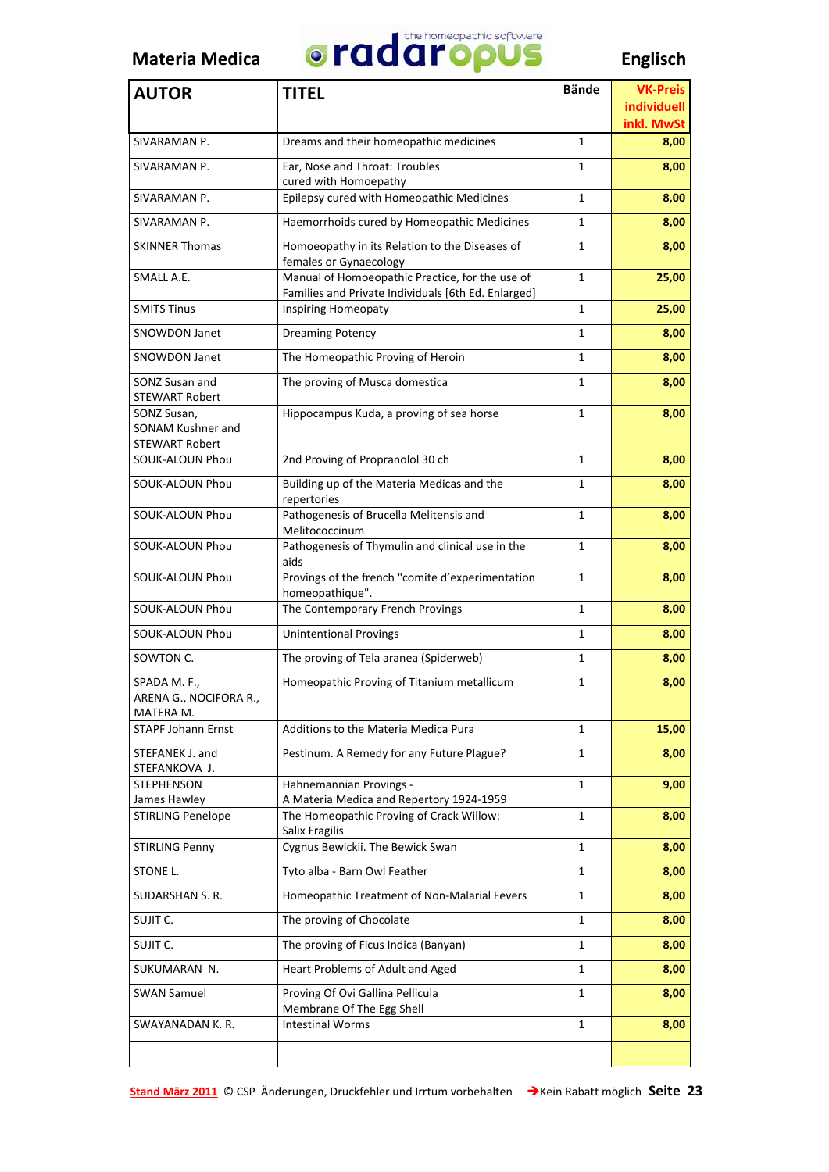

| <b>AUTOR</b>                                              | <b>TITEL</b>                                                                                           | <b>Bände</b> | <b>VK-Preis</b><br><b>individuell</b> |
|-----------------------------------------------------------|--------------------------------------------------------------------------------------------------------|--------------|---------------------------------------|
| SIVARAMAN P.                                              | Dreams and their homeopathic medicines                                                                 | 1            | inkl. MwSt<br>8,00                    |
| SIVARAMAN P.                                              | Ear, Nose and Throat: Troubles                                                                         | 1            | 8,00                                  |
|                                                           | cured with Homoepathy                                                                                  |              |                                       |
| SIVARAMAN P.                                              | Epilepsy cured with Homeopathic Medicines                                                              | 1            | 8,00                                  |
| SIVARAMAN P.                                              | Haemorrhoids cured by Homeopathic Medicines                                                            | 1            | 8,00                                  |
| <b>SKINNER Thomas</b>                                     | Homoeopathy in its Relation to the Diseases of<br>females or Gynaecology                               | 1            | 8,00                                  |
| SMALL A.E.                                                | Manual of Homoeopathic Practice, for the use of<br>Families and Private Individuals [6th Ed. Enlarged] | 1            | 25,00                                 |
| <b>SMITS Tinus</b>                                        | Inspiring Homeopaty                                                                                    | 1            | 25,00                                 |
| <b>SNOWDON Janet</b>                                      | <b>Dreaming Potency</b>                                                                                | 1            | 8,00                                  |
| <b>SNOWDON Janet</b>                                      | The Homeopathic Proving of Heroin                                                                      | 1            | 8,00                                  |
| SONZ Susan and<br><b>STEWART Robert</b>                   | The proving of Musca domestica                                                                         | 1            | 8,00                                  |
| SONZ Susan,<br>SONAM Kushner and<br><b>STEWART Robert</b> | Hippocampus Kuda, a proving of sea horse                                                               | 1            | 8,00                                  |
| SOUK-ALOUN Phou                                           | 2nd Proving of Propranolol 30 ch                                                                       | 1            | 8,00                                  |
| SOUK-ALOUN Phou                                           | Building up of the Materia Medicas and the<br>repertories                                              | 1            | 8,00                                  |
| SOUK-ALOUN Phou                                           | Pathogenesis of Brucella Melitensis and<br>Melitococcinum                                              | 1            | 8,00                                  |
| SOUK-ALOUN Phou                                           | Pathogenesis of Thymulin and clinical use in the<br>aids                                               | 1            | 8,00                                  |
| SOUK-ALOUN Phou                                           | Provings of the french "comite d'experimentation<br>homeopathique".                                    | 1            | 8,00                                  |
| SOUK-ALOUN Phou                                           | The Contemporary French Provings                                                                       | 1            | 8,00                                  |
| <b>SOUK-ALOUN Phou</b>                                    | <b>Unintentional Provings</b>                                                                          | $\mathbf{1}$ | 8,00                                  |
| SOWTON C.                                                 | The proving of Tela aranea (Spiderweb)                                                                 | 1            | 8,00                                  |
| SPADA M. F.,<br>ARENA G., NOCIFORA R<br>MATERA M.         | Homeopathic Proving of Titanium metallicum                                                             | 1            | 8,00                                  |
| <b>STAPF Johann Ernst</b>                                 | Additions to the Materia Medica Pura                                                                   | 1            | 15,00                                 |
| STEFANEK J. and<br>STEFANKOVA J.                          | Pestinum. A Remedy for any Future Plague?                                                              | 1            | 8,00                                  |
| <b>STEPHENSON</b><br>James Hawley                         | Hahnemannian Provings -<br>A Materia Medica and Repertory 1924-1959                                    | 1            | 9,00                                  |
| <b>STIRLING Penelope</b>                                  | The Homeopathic Proving of Crack Willow:<br>Salix Fragilis                                             | 1            | 8,00                                  |
| <b>STIRLING Penny</b>                                     | Cygnus Bewickii. The Bewick Swan                                                                       | 1            | 8,00                                  |
| STONE L.                                                  | Tyto alba - Barn Owl Feather                                                                           | 1            | 8,00                                  |
| SUDARSHAN S. R.                                           | Homeopathic Treatment of Non-Malarial Fevers                                                           | 1            | 8,00                                  |
| SUJIT C.                                                  | The proving of Chocolate                                                                               | 1            | 8,00                                  |
| SUJIT C.                                                  | The proving of Ficus Indica (Banyan)                                                                   | 1            | 8,00                                  |
| SUKUMARAN N.                                              | Heart Problems of Adult and Aged                                                                       | 1            | 8,00                                  |
| <b>SWAN Samuel</b>                                        | Proving Of Ovi Gallina Pellicula<br>Membrane Of The Egg Shell                                          | 1            | 8,00                                  |
| SWAYANADAN K. R.                                          | <b>Intestinal Worms</b>                                                                                | 1            | 8,00                                  |
|                                                           |                                                                                                        |              |                                       |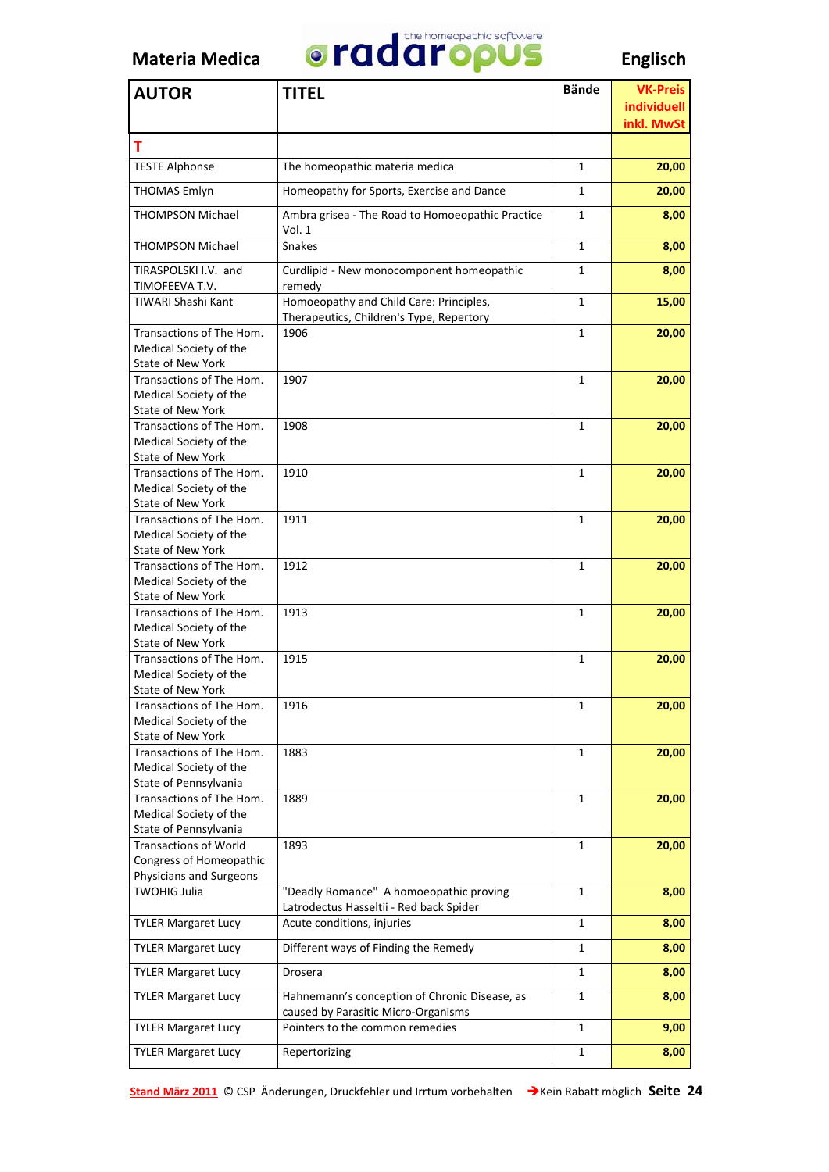

| <b>AUTOR</b>                                                                                 | <b>TITEL</b>                                                                         | <b>Bände</b> | <b>VK-Preis</b><br><b>individuell</b> |
|----------------------------------------------------------------------------------------------|--------------------------------------------------------------------------------------|--------------|---------------------------------------|
|                                                                                              |                                                                                      |              | inkl. MwSt                            |
| т                                                                                            |                                                                                      |              |                                       |
| <b>TESTE Alphonse</b>                                                                        | The homeopathic materia medica                                                       | 1            | 20,00                                 |
| <b>THOMAS Emlyn</b>                                                                          | Homeopathy for Sports, Exercise and Dance                                            | 1            | 20,00                                 |
| <b>THOMPSON Michael</b>                                                                      | Ambra grisea - The Road to Homoeopathic Practice<br>Vol. 1                           | 1            | 8,00                                  |
| <b>THOMPSON Michael</b>                                                                      | <b>Snakes</b>                                                                        | 1            | 8,00                                  |
| TIRASPOLSKI I.V. and                                                                         | Curdlipid - New monocomponent homeopathic                                            | 1            | 8,00                                  |
| TIMOFEEVA T.V.<br>TIWARI Shashi Kant                                                         | remedy<br>Homoeopathy and Child Care: Principles,                                    | 1            | 15,00                                 |
|                                                                                              | Therapeutics, Children's Type, Repertory                                             |              |                                       |
| Transactions of The Hom.<br>Medical Society of the<br><b>State of New York</b>               | 1906                                                                                 | 1            | 20,00                                 |
| Transactions of The Hom.<br>Medical Society of the<br><b>State of New York</b>               | 1907                                                                                 | 1            | 20,00                                 |
| Transactions of The Hom.<br>Medical Society of the<br><b>State of New York</b>               | 1908                                                                                 | 1            | 20,00                                 |
| Transactions of The Hom.<br>Medical Society of the                                           | 1910                                                                                 | 1            | 20,00                                 |
| State of New York<br>Transactions of The Hom.<br>Medical Society of the                      | 1911                                                                                 | $\mathbf{1}$ | 20,00                                 |
| State of New York<br>Transactions of The Hom.<br>Medical Society of the                      | 1912                                                                                 | 1            | 20,00                                 |
| <b>State of New York</b><br>Transactions of The Hom.<br>Medical Society of the               | 1913                                                                                 | 1            | 20,00                                 |
| State of New York<br>Transactions of The Hom.<br>Medical Society of the<br>State of New York | 1915                                                                                 | 1            | 20,00                                 |
| Transactions of The Hom.<br>Medical Society of the<br>State of New York                      | 1916                                                                                 | 1            | 20,00                                 |
| Transactions of The Hom.<br>Medical Society of the<br>State of Pennsylvania                  | 1883                                                                                 | 1            | 20,00                                 |
| Transactions of The Hom.<br>Medical Society of the<br>State of Pennsylvania                  | 1889                                                                                 | 1            | 20,00                                 |
| <b>Transactions of World</b><br>Congress of Homeopathic<br>Physicians and Surgeons           | 1893                                                                                 | 1            | 20,00                                 |
| <b>TWOHIG Julia</b>                                                                          | "Deadly Romance" A homoeopathic proving                                              | 1            | 8,00                                  |
| <b>TYLER Margaret Lucy</b>                                                                   | Latrodectus Hasseltii - Red back Spider<br>Acute conditions, injuries                | $\mathbf{1}$ | 8,00                                  |
| <b>TYLER Margaret Lucy</b>                                                                   | Different ways of Finding the Remedy                                                 | 1            | 8,00                                  |
| <b>TYLER Margaret Lucy</b>                                                                   | Drosera                                                                              | 1            | 8,00                                  |
| <b>TYLER Margaret Lucy</b>                                                                   | Hahnemann's conception of Chronic Disease, as<br>caused by Parasitic Micro-Organisms | 1            | 8,00                                  |
| <b>TYLER Margaret Lucy</b>                                                                   | Pointers to the common remedies                                                      | $\mathbf{1}$ | 9,00                                  |
| <b>TYLER Margaret Lucy</b>                                                                   | Repertorizing                                                                        | 1            | 8,00                                  |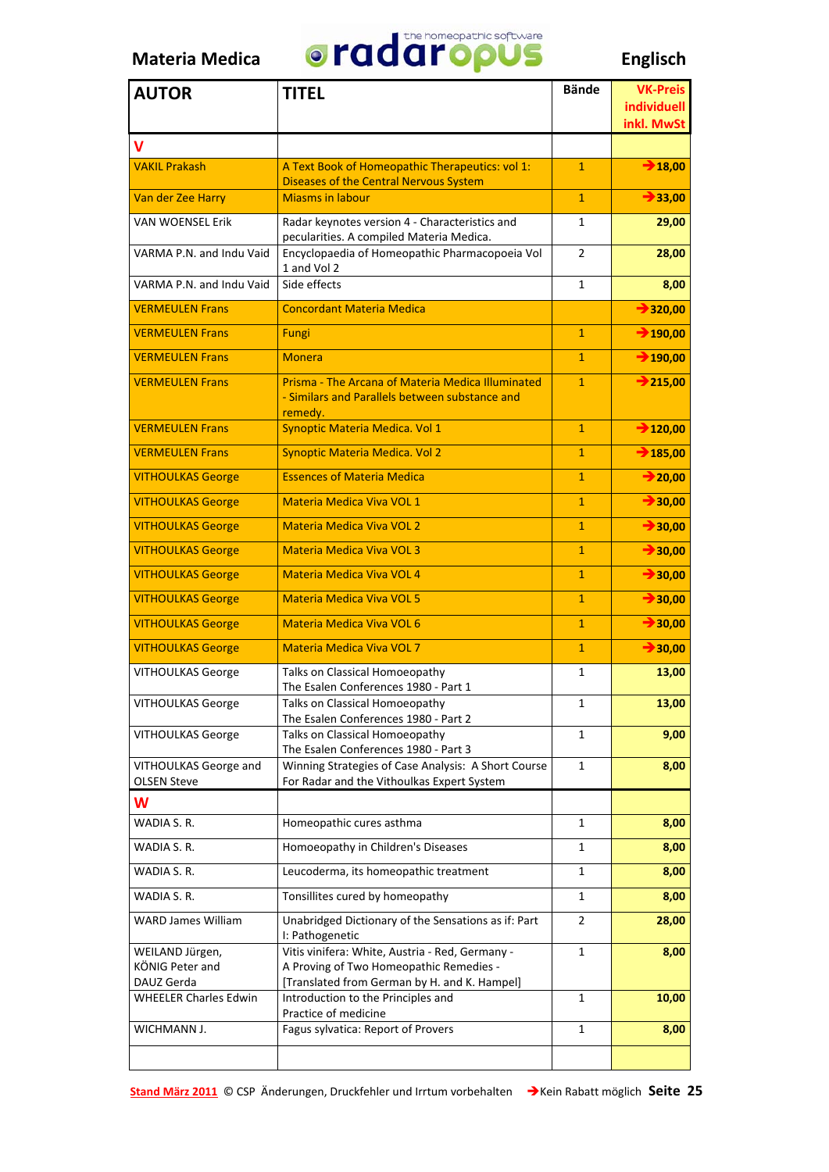

| <b>AUTOR</b>                                     | <b>TITEL</b>                                                                                                                               | <b>Bände</b>   | <b>VK-Preis</b><br>individuell<br>inkl. MwSt |
|--------------------------------------------------|--------------------------------------------------------------------------------------------------------------------------------------------|----------------|----------------------------------------------|
| v                                                |                                                                                                                                            |                |                                              |
| <b>VAKIL Prakash</b>                             | A Text Book of Homeopathic Therapeutics: vol 1:<br><b>Diseases of the Central Nervous System</b>                                           | $\mathbf{1}$   | 718,00                                       |
| Van der Zee Harry                                | <b>Miasms in labour</b>                                                                                                                    | $\mathbf{1}$   | 733,00                                       |
| <b>VAN WOENSEL Erik</b>                          | Radar keynotes version 4 - Characteristics and<br>pecularities. A compiled Materia Medica.                                                 | $\mathbf{1}$   | 29,00                                        |
| VARMA P.N. and Indu Vaid                         | Encyclopaedia of Homeopathic Pharmacopoeia Vol<br>1 and Vol 2                                                                              | 2              | 28,00                                        |
| VARMA P.N. and Indu Vaid                         | Side effects                                                                                                                               | 1              | 8,00                                         |
| <b>VERMEULEN Frans</b>                           | <b>Concordant Materia Medica</b>                                                                                                           |                | $\rightarrow$ 320,00                         |
| <b>VERMEULEN Frans</b>                           | Fungi                                                                                                                                      | $\mathbf{1}$   | $\rightarrow 190,00$                         |
| <b>VERMEULEN Frans</b>                           | <b>Monera</b>                                                                                                                              | $\mathbf{1}$   | $\rightarrow 190,00$                         |
| <b>VERMEULEN Frans</b>                           | Prisma - The Arcana of Materia Medica Illuminated<br>- Similars and Parallels between substance and<br>remedy.                             | $\mathbf{1}$   | $\rightarrow 215,00$                         |
| <b>VERMEULEN Frans</b>                           | Synoptic Materia Medica. Vol 1                                                                                                             | $\mathbf{1}$   | $\rightarrow$ 120,00                         |
| <b>VERMEULEN Frans</b>                           | Synoptic Materia Medica. Vol 2                                                                                                             | $\mathbf{1}$   | $\rightarrow 185,00$                         |
| <b>VITHOULKAS George</b>                         | <b>Essences of Materia Medica</b>                                                                                                          | $\mathbf{1}$   | $\rightarrow$ 20,00                          |
| <b>VITHOULKAS George</b>                         | Materia Medica Viva VOL 1                                                                                                                  | $\mathbf{1}$   | $\rightarrow$ 30,00                          |
| <b>VITHOULKAS George</b>                         | <b>Materia Medica Viva VOL 2</b>                                                                                                           | $\mathbf{1}$   | $\rightarrow$ 30,00                          |
| <b>VITHOULKAS George</b>                         | <b>Materia Medica Viva VOL 3</b>                                                                                                           | $\mathbf{1}$   | $\rightarrow$ 30,00                          |
| <b>VITHOULKAS George</b>                         | Materia Medica Viva VOL 4                                                                                                                  | $\mathbf{1}$   | $\rightarrow$ 30,00                          |
| <b>VITHOULKAS George</b>                         | <b>Materia Medica Viva VOL 5</b>                                                                                                           | $\mathbf{1}$   | $\rightarrow 30,00$                          |
| <b>VITHOULKAS George</b>                         | Materia Medica Viva VOL 6                                                                                                                  | $\mathbf{1}$   | $\rightarrow 30,00$                          |
| <b>VITHOULKAS George</b>                         | <b>Materia Medica Viva VOL 7</b>                                                                                                           | $\mathbf{1}$   | $\rightarrow$ 30,00                          |
| <b>VITHOULKAS George</b>                         | Talks on Classical Homoeopathy<br>The Esalen Conferences 1980 - Part 1                                                                     | 1              | 13,00                                        |
| VITHOULKAS George                                | Talks on Classical Homoeopathy<br>The Esalen Conferences 1980 - Part 2                                                                     | 1              | 13,00                                        |
| <b>VITHOULKAS George</b>                         | Talks on Classical Homoeopathy<br>The Esalen Conferences 1980 - Part 3                                                                     | 1              | 9,00                                         |
| VITHOULKAS George and                            | Winning Strategies of Case Analysis: A Short Course                                                                                        | 1              | 8,00                                         |
| <b>OLSEN Steve</b>                               | For Radar and the Vithoulkas Expert System                                                                                                 |                |                                              |
| W                                                |                                                                                                                                            |                |                                              |
| WADIA S.R.<br>WADIA S.R.                         | Homeopathic cures asthma                                                                                                                   | 1              | 8,00                                         |
| WADIA S.R.                                       | Homoeopathy in Children's Diseases                                                                                                         | 1<br>1         | 8,00<br>8,00                                 |
| WADIA S.R.                                       | Leucoderma, its homeopathic treatment                                                                                                      |                |                                              |
|                                                  | Tonsillites cured by homeopathy                                                                                                            | 1              | 8,00                                         |
| <b>WARD James William</b>                        | Unabridged Dictionary of the Sensations as if: Part<br>I: Pathogenetic                                                                     | $\overline{2}$ | 28,00                                        |
| WEILAND Jürgen,<br>KÖNIG Peter and<br>DAUZ Gerda | Vitis vinifera: White, Austria - Red, Germany -<br>A Proving of Two Homeopathic Remedies -<br>[Translated from German by H. and K. Hampel] | 1              | 8,00                                         |
| <b>WHEELER Charles Edwin</b>                     | Introduction to the Principles and<br>Practice of medicine                                                                                 | 1              | 10,00                                        |
| WICHMANN J.                                      | Fagus sylvatica: Report of Provers                                                                                                         | 1              | 8,00                                         |
|                                                  |                                                                                                                                            |                |                                              |